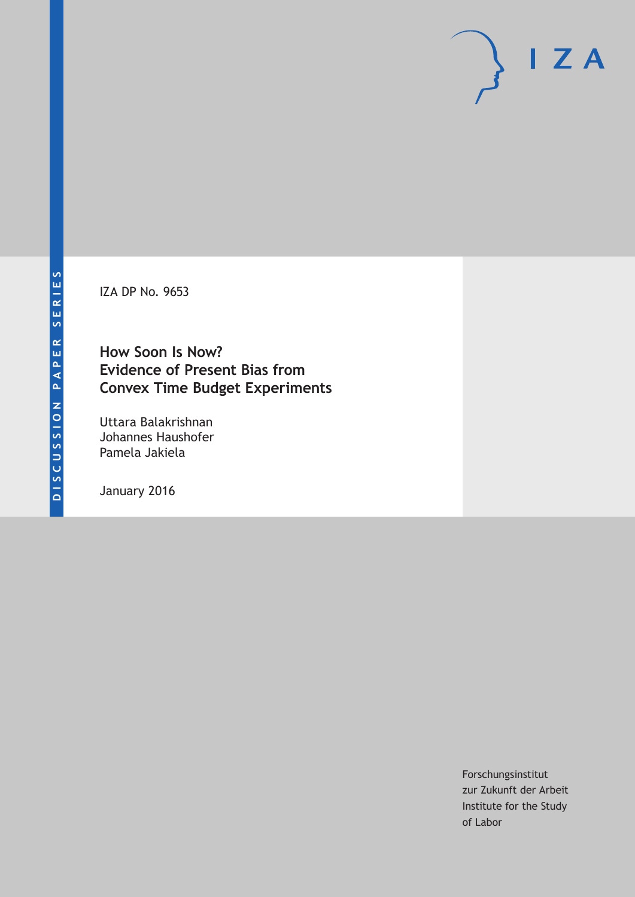IZA DP No. 9653

**How Soon Is Now? Evidence of Present Bias from Convex Time Budget Experiments**

Uttara Balakrishnan Johannes Haushofer Pamela Jakiela

January 2016

Forschungsinstitut zur Zukunft der Arbeit Institute for the Study of Labor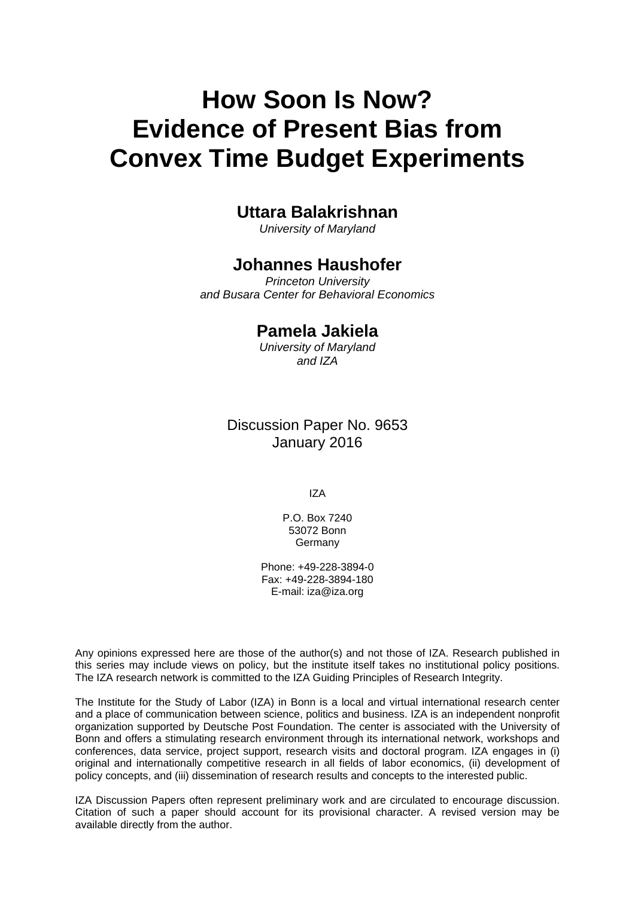# **How Soon Is Now? Evidence of Present Bias from Convex Time Budget Experiments**

# **Uttara Balakrishnan**

*University of Maryland* 

# **Johannes Haushofer**

*Princeton University and Busara Center for Behavioral Economics* 

# **Pamela Jakiela**

*University of Maryland and IZA*

# Discussion Paper No. 9653 January 2016

IZA

P.O. Box 7240 53072 Bonn Germany

Phone: +49-228-3894-0 Fax: +49-228-3894-180 E-mail: iza@iza.org

Any opinions expressed here are those of the author(s) and not those of IZA. Research published in this series may include views on policy, but the institute itself takes no institutional policy positions. The IZA research network is committed to the IZA Guiding Principles of Research Integrity.

The Institute for the Study of Labor (IZA) in Bonn is a local and virtual international research center and a place of communication between science, politics and business. IZA is an independent nonprofit organization supported by Deutsche Post Foundation. The center is associated with the University of Bonn and offers a stimulating research environment through its international network, workshops and conferences, data service, project support, research visits and doctoral program. IZA engages in (i) original and internationally competitive research in all fields of labor economics, (ii) development of policy concepts, and (iii) dissemination of research results and concepts to the interested public.

IZA Discussion Papers often represent preliminary work and are circulated to encourage discussion. Citation of such a paper should account for its provisional character. A revised version may be available directly from the author.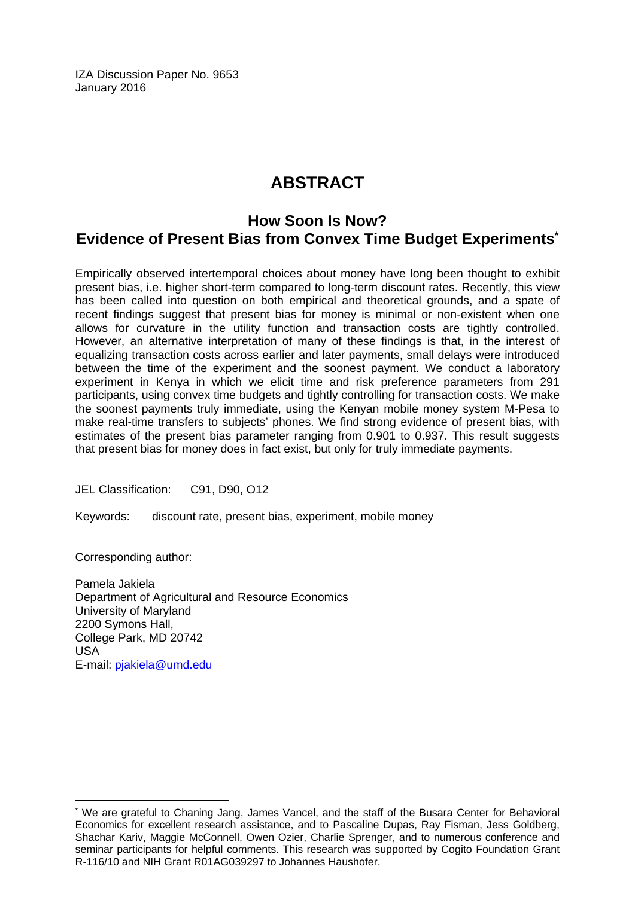IZA Discussion Paper No. 9653 January 2016

# **ABSTRACT**

# **How Soon Is Now? Evidence of Present Bias from Convex Time Budget Experiments\***

Empirically observed intertemporal choices about money have long been thought to exhibit present bias, i.e. higher short-term compared to long-term discount rates. Recently, this view has been called into question on both empirical and theoretical grounds, and a spate of recent findings suggest that present bias for money is minimal or non-existent when one allows for curvature in the utility function and transaction costs are tightly controlled. However, an alternative interpretation of many of these findings is that, in the interest of equalizing transaction costs across earlier and later payments, small delays were introduced between the time of the experiment and the soonest payment. We conduct a laboratory experiment in Kenya in which we elicit time and risk preference parameters from 291 participants, using convex time budgets and tightly controlling for transaction costs. We make the soonest payments truly immediate, using the Kenyan mobile money system M-Pesa to make real-time transfers to subjects' phones. We find strong evidence of present bias, with estimates of the present bias parameter ranging from 0.901 to 0.937. This result suggests that present bias for money does in fact exist, but only for truly immediate payments.

JEL Classification: C91, D90, O12

Keywords: discount rate, present bias, experiment, mobile money

Corresponding author:

 $\overline{a}$ 

Pamela Jakiela Department of Agricultural and Resource Economics University of Maryland 2200 Symons Hall, College Park, MD 20742 USA E-mail: pjakiela@umd.edu

<sup>\*</sup> We are grateful to Chaning Jang, James Vancel, and the staff of the Busara Center for Behavioral Economics for excellent research assistance, and to Pascaline Dupas, Ray Fisman, Jess Goldberg, Shachar Kariv, Maggie McConnell, Owen Ozier, Charlie Sprenger, and to numerous conference and seminar participants for helpful comments. This research was supported by Cogito Foundation Grant R-116/10 and NIH Grant R01AG039297 to Johannes Haushofer.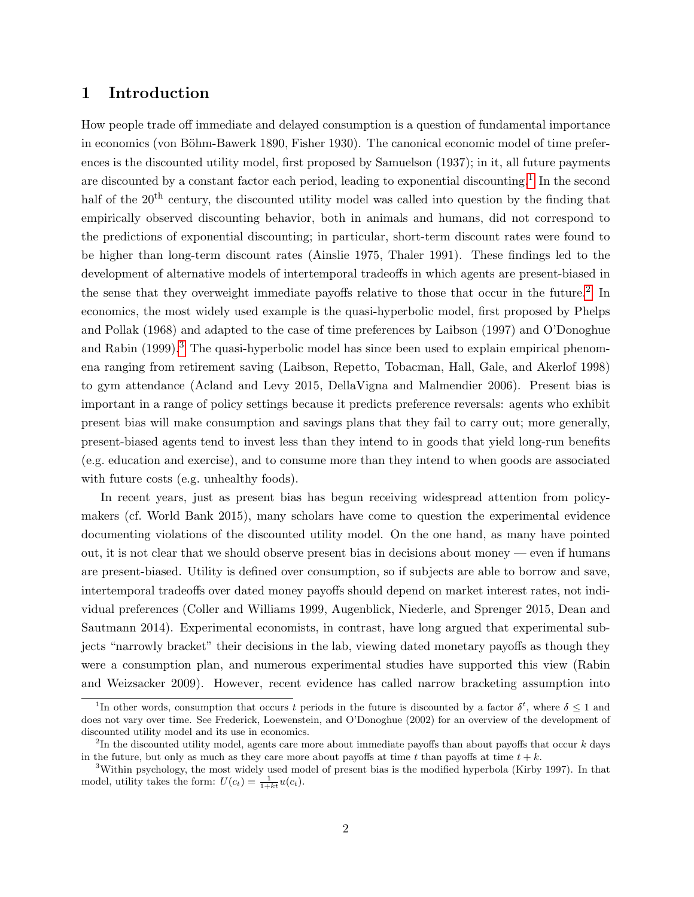### 1 Introduction

How people trade off immediate and delayed consumption is a question of fundamental importance in economics (von Böhm-Bawerk 1890, Fisher 1930). The canonical economic model of time preferences is the discounted utility model, first proposed by Samuelson (1937); in it, all future payments are discounted by a constant factor each period, leading to exponential discounting.<sup>[1](#page-3-0)</sup> In the second half of the 20<sup>th</sup> century, the discounted utility model was called into question by the finding that empirically observed discounting behavior, both in animals and humans, did not correspond to the predictions of exponential discounting; in particular, short-term discount rates were found to be higher than long-term discount rates (Ainslie 1975, Thaler 1991). These findings led to the development of alternative models of intertemporal tradeoffs in which agents are present-biased in the sense that they overweight immediate payoffs relative to those that occur in the future.<sup>[2](#page-3-1)</sup> In economics, the most widely used example is the quasi-hyperbolic model, first proposed by Phelps and Pollak (1968) and adapted to the case of time preferences by Laibson (1997) and O'Donoghue and Rabin (1999).<sup>[3](#page-3-2)</sup> The quasi-hyperbolic model has since been used to explain empirical phenomena ranging from retirement saving (Laibson, Repetto, Tobacman, Hall, Gale, and Akerlof 1998) to gym attendance (Acland and Levy 2015, DellaVigna and Malmendier 2006). Present bias is important in a range of policy settings because it predicts preference reversals: agents who exhibit present bias will make consumption and savings plans that they fail to carry out; more generally, present-biased agents tend to invest less than they intend to in goods that yield long-run benefits (e.g. education and exercise), and to consume more than they intend to when goods are associated with future costs (e.g. unhealthy foods).

In recent years, just as present bias has begun receiving widespread attention from policymakers (cf. World Bank 2015), many scholars have come to question the experimental evidence documenting violations of the discounted utility model. On the one hand, as many have pointed out, it is not clear that we should observe present bias in decisions about money — even if humans are present-biased. Utility is defined over consumption, so if subjects are able to borrow and save, intertemporal tradeoffs over dated money payoffs should depend on market interest rates, not individual preferences (Coller and Williams 1999, Augenblick, Niederle, and Sprenger 2015, Dean and Sautmann 2014). Experimental economists, in contrast, have long argued that experimental subjects "narrowly bracket" their decisions in the lab, viewing dated monetary payoffs as though they were a consumption plan, and numerous experimental studies have supported this view (Rabin and Weizsacker 2009). However, recent evidence has called narrow bracketing assumption into

<span id="page-3-0"></span><sup>&</sup>lt;sup>1</sup>In other words, consumption that occurs t periods in the future is discounted by a factor  $\delta^t$ , where  $\delta \leq 1$  and does not vary over time. See Frederick, Loewenstein, and O'Donoghue (2002) for an overview of the development of discounted utility model and its use in economics.

<span id="page-3-1"></span><sup>&</sup>lt;sup>2</sup>In the discounted utility model, agents care more about immediate payoffs than about payoffs that occur k days in the future, but only as much as they care more about payoffs at time t than payoffs at time  $t + k$ .

<span id="page-3-2"></span><sup>3</sup>Within psychology, the most widely used model of present bias is the modified hyperbola (Kirby 1997). In that model, utility takes the form:  $U(c_t) = \frac{1}{1+kt}u(c_t)$ .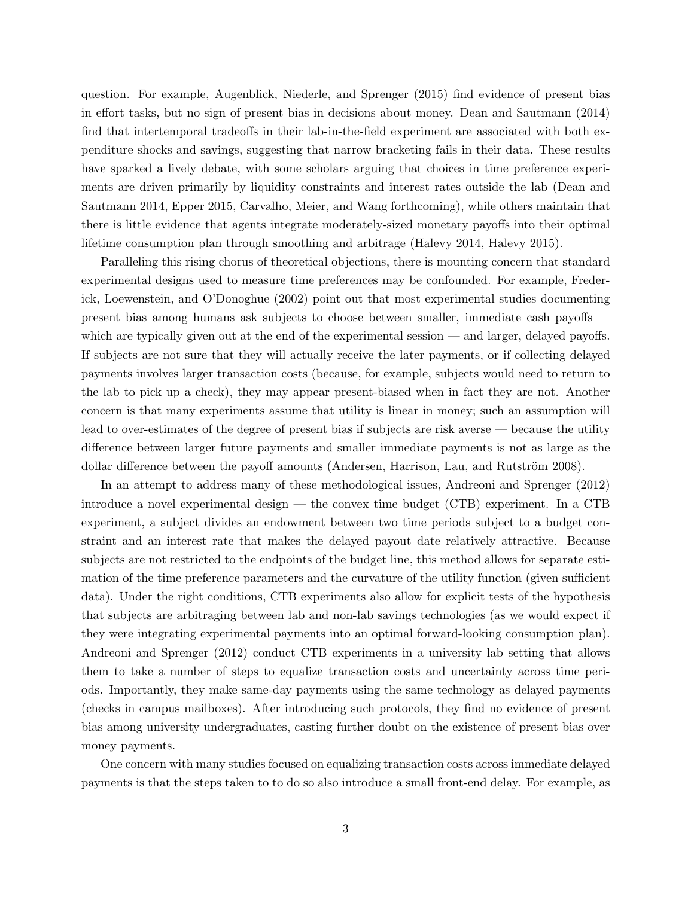question. For example, Augenblick, Niederle, and Sprenger (2015) find evidence of present bias in effort tasks, but no sign of present bias in decisions about money. Dean and Sautmann (2014) find that intertemporal tradeoffs in their lab-in-the-field experiment are associated with both expenditure shocks and savings, suggesting that narrow bracketing fails in their data. These results have sparked a lively debate, with some scholars arguing that choices in time preference experiments are driven primarily by liquidity constraints and interest rates outside the lab (Dean and Sautmann 2014, Epper 2015, Carvalho, Meier, and Wang forthcoming), while others maintain that there is little evidence that agents integrate moderately-sized monetary payoffs into their optimal lifetime consumption plan through smoothing and arbitrage (Halevy 2014, Halevy 2015).

Paralleling this rising chorus of theoretical objections, there is mounting concern that standard experimental designs used to measure time preferences may be confounded. For example, Frederick, Loewenstein, and O'Donoghue (2002) point out that most experimental studies documenting present bias among humans ask subjects to choose between smaller, immediate cash payoffs which are typically given out at the end of the experimental session — and larger, delayed payoffs. If subjects are not sure that they will actually receive the later payments, or if collecting delayed payments involves larger transaction costs (because, for example, subjects would need to return to the lab to pick up a check), they may appear present-biased when in fact they are not. Another concern is that many experiments assume that utility is linear in money; such an assumption will lead to over-estimates of the degree of present bias if subjects are risk averse — because the utility difference between larger future payments and smaller immediate payments is not as large as the dollar difference between the payoff amounts (Andersen, Harrison, Lau, and Rutström 2008).

In an attempt to address many of these methodological issues, Andreoni and Sprenger (2012) introduce a novel experimental design — the convex time budget (CTB) experiment. In a CTB experiment, a subject divides an endowment between two time periods subject to a budget constraint and an interest rate that makes the delayed payout date relatively attractive. Because subjects are not restricted to the endpoints of the budget line, this method allows for separate estimation of the time preference parameters and the curvature of the utility function (given sufficient data). Under the right conditions, CTB experiments also allow for explicit tests of the hypothesis that subjects are arbitraging between lab and non-lab savings technologies (as we would expect if they were integrating experimental payments into an optimal forward-looking consumption plan). Andreoni and Sprenger (2012) conduct CTB experiments in a university lab setting that allows them to take a number of steps to equalize transaction costs and uncertainty across time periods. Importantly, they make same-day payments using the same technology as delayed payments (checks in campus mailboxes). After introducing such protocols, they find no evidence of present bias among university undergraduates, casting further doubt on the existence of present bias over money payments.

One concern with many studies focused on equalizing transaction costs across immediate delayed payments is that the steps taken to to do so also introduce a small front-end delay. For example, as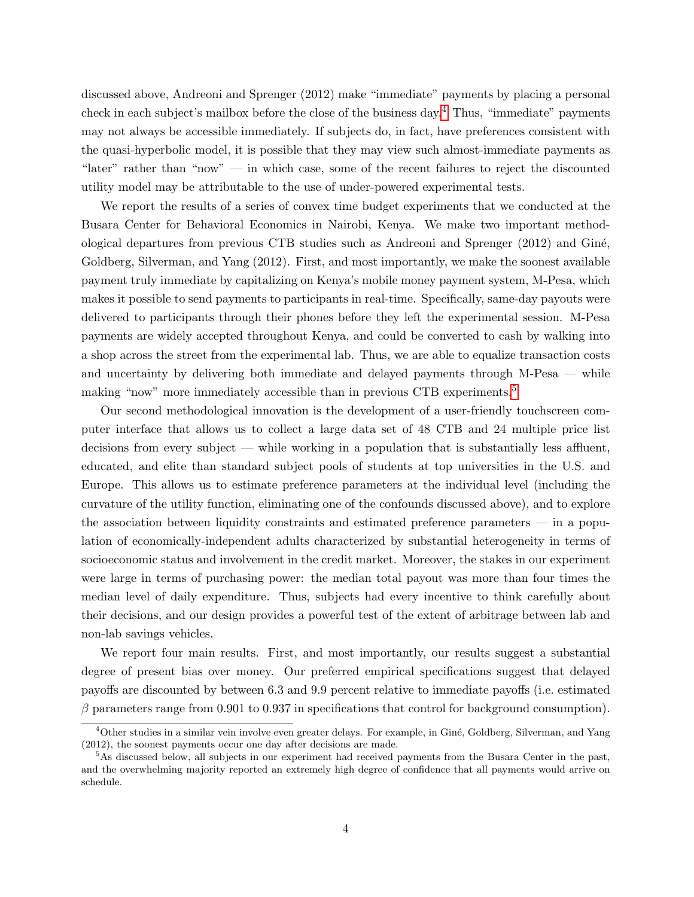discussed above, Andreoni and Sprenger (2012) make "immediate" payments by placing a personal check in each subject's mailbox before the close of the business day.[4](#page-5-0) Thus, "immediate" payments may not always be accessible immediately. If subjects do, in fact, have preferences consistent with the quasi-hyperbolic model, it is possible that they may view such almost-immediate payments as "later" rather than "now" — in which case, some of the recent failures to reject the discounted utility model may be attributable to the use of under-powered experimental tests.

We report the results of a series of convex time budget experiments that we conducted at the Busara Center for Behavioral Economics in Nairobi, Kenya. We make two important methodological departures from previous CTB studies such as Andreoni and Sprenger (2012) and Giné, Goldberg, Silverman, and Yang (2012). First, and most importantly, we make the soonest available payment truly immediate by capitalizing on Kenya's mobile money payment system, M-Pesa, which makes it possible to send payments to participants in real-time. Specifically, same-day payouts were delivered to participants through their phones before they left the experimental session. M-Pesa payments are widely accepted throughout Kenya, and could be converted to cash by walking into a shop across the street from the experimental lab. Thus, we are able to equalize transaction costs and uncertainty by delivering both immediate and delayed payments through M-Pesa — while making "now" more immediately accessible than in previous CTB experiments.<sup>[5](#page-5-1)</sup>

Our second methodological innovation is the development of a user-friendly touchscreen computer interface that allows us to collect a large data set of 48 CTB and 24 multiple price list decisions from every subject — while working in a population that is substantially less affluent, educated, and elite than standard subject pools of students at top universities in the U.S. and Europe. This allows us to estimate preference parameters at the individual level (including the curvature of the utility function, eliminating one of the confounds discussed above), and to explore the association between liquidity constraints and estimated preference parameters — in a population of economically-independent adults characterized by substantial heterogeneity in terms of socioeconomic status and involvement in the credit market. Moreover, the stakes in our experiment were large in terms of purchasing power: the median total payout was more than four times the median level of daily expenditure. Thus, subjects had every incentive to think carefully about their decisions, and our design provides a powerful test of the extent of arbitrage between lab and non-lab savings vehicles.

We report four main results. First, and most importantly, our results suggest a substantial degree of present bias over money. Our preferred empirical specifications suggest that delayed payoffs are discounted by between 6.3 and 9.9 percent relative to immediate payoffs (i.e. estimated  $\beta$  parameters range from 0.901 to 0.937 in specifications that control for background consumption).

<span id="page-5-0"></span><sup>&</sup>lt;sup>4</sup>Other studies in a similar vein involve even greater delays. For example, in Giné, Goldberg, Silverman, and Yang (2012), the soonest payments occur one day after decisions are made.

<span id="page-5-1"></span><sup>&</sup>lt;sup>5</sup>As discussed below, all subjects in our experiment had received payments from the Busara Center in the past, and the overwhelming majority reported an extremely high degree of confidence that all payments would arrive on schedule.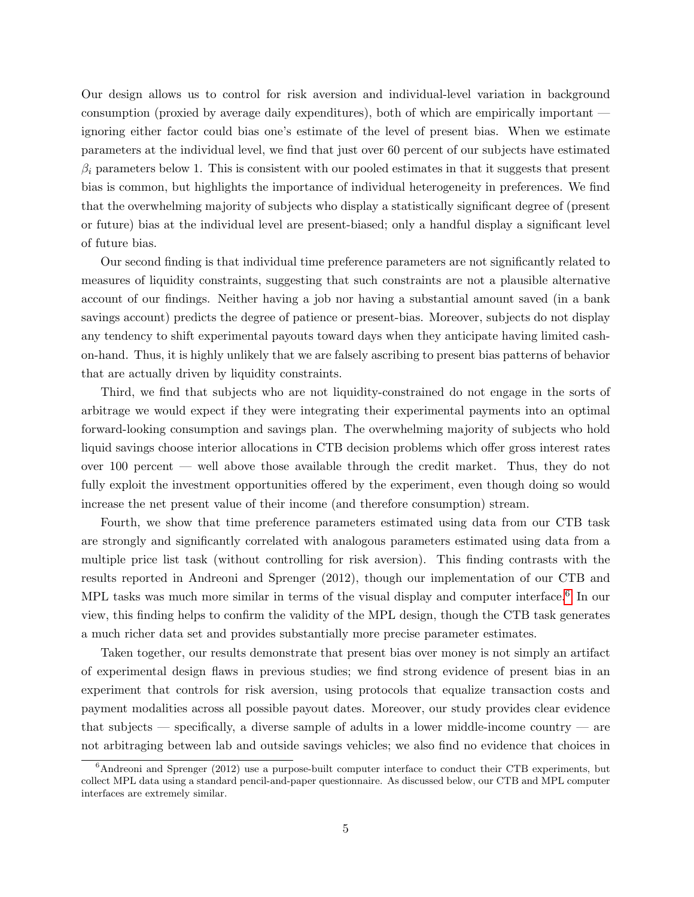Our design allows us to control for risk aversion and individual-level variation in background consumption (proxied by average daily expenditures), both of which are empirically important ignoring either factor could bias one's estimate of the level of present bias. When we estimate parameters at the individual level, we find that just over 60 percent of our subjects have estimated  $\beta_i$  parameters below 1. This is consistent with our pooled estimates in that it suggests that present bias is common, but highlights the importance of individual heterogeneity in preferences. We find that the overwhelming majority of subjects who display a statistically significant degree of (present or future) bias at the individual level are present-biased; only a handful display a significant level of future bias.

Our second finding is that individual time preference parameters are not significantly related to measures of liquidity constraints, suggesting that such constraints are not a plausible alternative account of our findings. Neither having a job nor having a substantial amount saved (in a bank savings account) predicts the degree of patience or present-bias. Moreover, subjects do not display any tendency to shift experimental payouts toward days when they anticipate having limited cashon-hand. Thus, it is highly unlikely that we are falsely ascribing to present bias patterns of behavior that are actually driven by liquidity constraints.

Third, we find that subjects who are not liquidity-constrained do not engage in the sorts of arbitrage we would expect if they were integrating their experimental payments into an optimal forward-looking consumption and savings plan. The overwhelming majority of subjects who hold liquid savings choose interior allocations in CTB decision problems which offer gross interest rates over 100 percent — well above those available through the credit market. Thus, they do not fully exploit the investment opportunities offered by the experiment, even though doing so would increase the net present value of their income (and therefore consumption) stream.

Fourth, we show that time preference parameters estimated using data from our CTB task are strongly and significantly correlated with analogous parameters estimated using data from a multiple price list task (without controlling for risk aversion). This finding contrasts with the results reported in Andreoni and Sprenger (2012), though our implementation of our CTB and MPL tasks was much more similar in terms of the visual display and computer interface.<sup>[6](#page-6-0)</sup> In our view, this finding helps to confirm the validity of the MPL design, though the CTB task generates a much richer data set and provides substantially more precise parameter estimates.

Taken together, our results demonstrate that present bias over money is not simply an artifact of experimental design flaws in previous studies; we find strong evidence of present bias in an experiment that controls for risk aversion, using protocols that equalize transaction costs and payment modalities across all possible payout dates. Moreover, our study provides clear evidence that subjects — specifically, a diverse sample of adults in a lower middle-income country — are not arbitraging between lab and outside savings vehicles; we also find no evidence that choices in

<span id="page-6-0"></span><sup>&</sup>lt;sup>6</sup>Andreoni and Sprenger (2012) use a purpose-built computer interface to conduct their CTB experiments, but collect MPL data using a standard pencil-and-paper questionnaire. As discussed below, our CTB and MPL computer interfaces are extremely similar.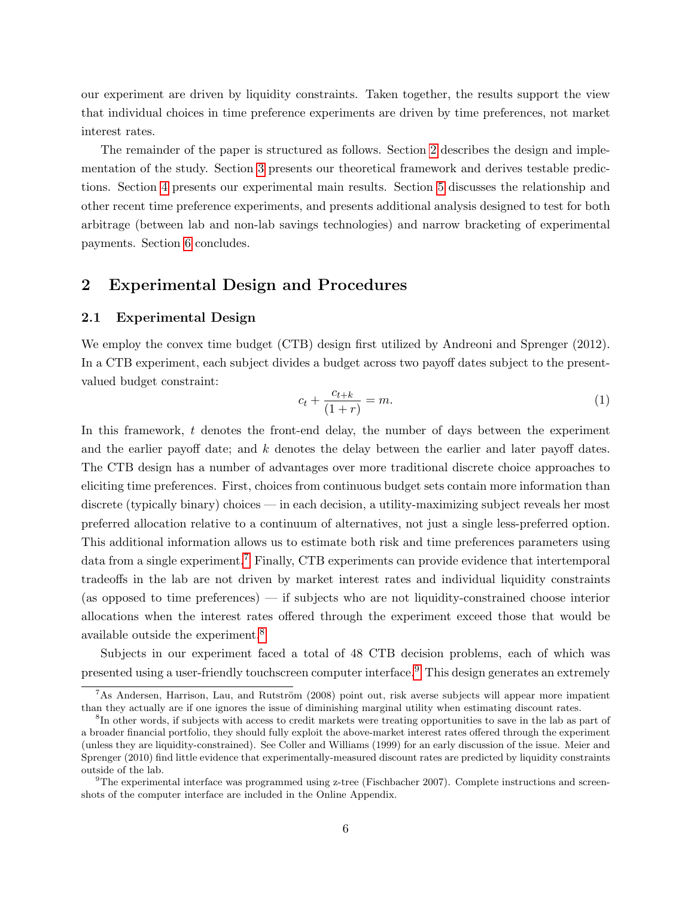our experiment are driven by liquidity constraints. Taken together, the results support the view that individual choices in time preference experiments are driven by time preferences, not market interest rates.

The remainder of the paper is structured as follows. Section [2](#page-7-0) describes the design and implementation of the study. Section [3](#page-11-0) presents our theoretical framework and derives testable predictions. Section [4](#page-12-0) presents our experimental main results. Section [5](#page-18-0) discusses the relationship and other recent time preference experiments, and presents additional analysis designed to test for both arbitrage (between lab and non-lab savings technologies) and narrow bracketing of experimental payments. Section [6](#page-24-0) concludes.

### <span id="page-7-0"></span>2 Experimental Design and Procedures

#### 2.1 Experimental Design

We employ the convex time budget (CTB) design first utilized by Andreoni and Sprenger (2012). In a CTB experiment, each subject divides a budget across two payoff dates subject to the presentvalued budget constraint:

$$
c_t + \frac{c_{t+k}}{(1+r)} = m.
$$
\n<sup>(1)</sup>

In this framework,  $t$  denotes the front-end delay, the number of days between the experiment and the earlier payoff date; and k denotes the delay between the earlier and later payoff dates. The CTB design has a number of advantages over more traditional discrete choice approaches to eliciting time preferences. First, choices from continuous budget sets contain more information than discrete (typically binary) choices — in each decision, a utility-maximizing subject reveals her most preferred allocation relative to a continuum of alternatives, not just a single less-preferred option. This additional information allows us to estimate both risk and time preferences parameters using data from a single experiment.<sup>[7](#page-7-1)</sup> Finally, CTB experiments can provide evidence that intertemporal tradeoffs in the lab are not driven by market interest rates and individual liquidity constraints (as opposed to time preferences) — if subjects who are not liquidity-constrained choose interior allocations when the interest rates offered through the experiment exceed those that would be available outside the experiment.[8](#page-7-2)

Subjects in our experiment faced a total of 48 CTB decision problems, each of which was presented using a user-friendly touchscreen computer interface.[9](#page-7-3) This design generates an extremely

<span id="page-7-1"></span><sup>&</sup>lt;sup>7</sup>As Andersen, Harrison, Lau, and Rutström (2008) point out, risk averse subjects will appear more impatient than they actually are if one ignores the issue of diminishing marginal utility when estimating discount rates.

<span id="page-7-2"></span><sup>&</sup>lt;sup>8</sup>In other words, if subjects with access to credit markets were treating opportunities to save in the lab as part of a broader financial portfolio, they should fully exploit the above-market interest rates offered through the experiment (unless they are liquidity-constrained). See Coller and Williams (1999) for an early discussion of the issue. Meier and Sprenger (2010) find little evidence that experimentally-measured discount rates are predicted by liquidity constraints outside of the lab.

<span id="page-7-3"></span><sup>9</sup>The experimental interface was programmed using z-tree (Fischbacher 2007). Complete instructions and screenshots of the computer interface are included in the Online Appendix.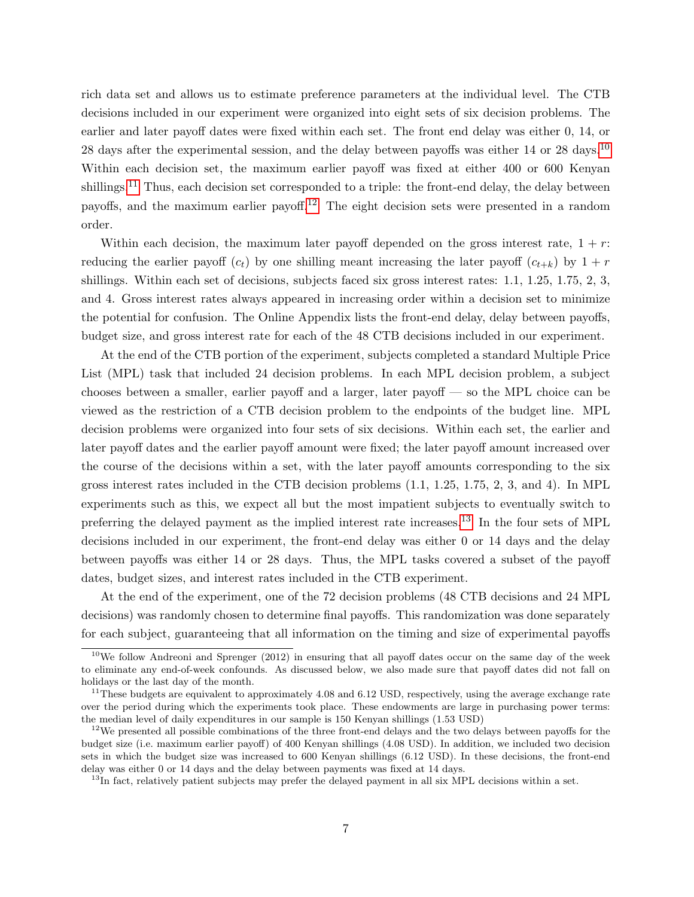rich data set and allows us to estimate preference parameters at the individual level. The CTB decisions included in our experiment were organized into eight sets of six decision problems. The earlier and later payoff dates were fixed within each set. The front end delay was either 0, 14, or 28 days after the experimental session, and the delay between payoffs was either 14 or 28 days.<sup>[10](#page-8-0)</sup> Within each decision set, the maximum earlier payoff was fixed at either 400 or 600 Kenyan shillings.<sup>[11](#page-8-1)</sup> Thus, each decision set corresponded to a triple: the front-end delay, the delay between payoffs, and the maximum earlier payoff.[12](#page-8-2) The eight decision sets were presented in a random order.

Within each decision, the maximum later payoff depended on the gross interest rate,  $1 + r$ : reducing the earlier payoff  $(c_t)$  by one shilling meant increasing the later payoff  $(c_{t+k})$  by  $1 + r$ shillings. Within each set of decisions, subjects faced six gross interest rates: 1.1, 1.25, 1.75, 2, 3, and 4. Gross interest rates always appeared in increasing order within a decision set to minimize the potential for confusion. The Online Appendix lists the front-end delay, delay between payoffs, budget size, and gross interest rate for each of the 48 CTB decisions included in our experiment.

At the end of the CTB portion of the experiment, subjects completed a standard Multiple Price List (MPL) task that included 24 decision problems. In each MPL decision problem, a subject chooses between a smaller, earlier payoff and a larger, later payoff — so the MPL choice can be viewed as the restriction of a CTB decision problem to the endpoints of the budget line. MPL decision problems were organized into four sets of six decisions. Within each set, the earlier and later payoff dates and the earlier payoff amount were fixed; the later payoff amount increased over the course of the decisions within a set, with the later payoff amounts corresponding to the six gross interest rates included in the CTB decision problems (1.1, 1.25, 1.75, 2, 3, and 4). In MPL experiments such as this, we expect all but the most impatient subjects to eventually switch to preferring the delayed payment as the implied interest rate increases.[13](#page-8-3) In the four sets of MPL decisions included in our experiment, the front-end delay was either 0 or 14 days and the delay between payoffs was either 14 or 28 days. Thus, the MPL tasks covered a subset of the payoff dates, budget sizes, and interest rates included in the CTB experiment.

At the end of the experiment, one of the 72 decision problems (48 CTB decisions and 24 MPL decisions) was randomly chosen to determine final payoffs. This randomization was done separately for each subject, guaranteeing that all information on the timing and size of experimental payoffs

<span id="page-8-0"></span> $10$ We follow Andreoni and Sprenger (2012) in ensuring that all payoff dates occur on the same day of the week to eliminate any end-of-week confounds. As discussed below, we also made sure that payoff dates did not fall on holidays or the last day of the month.

<span id="page-8-1"></span><sup>&</sup>lt;sup>11</sup>These budgets are equivalent to approximately 4.08 and 6.12 USD, respectively, using the average exchange rate over the period during which the experiments took place. These endowments are large in purchasing power terms: the median level of daily expenditures in our sample is 150 Kenyan shillings (1.53 USD)

<span id="page-8-2"></span> $12$ We presented all possible combinations of the three front-end delays and the two delays between payoffs for the budget size (i.e. maximum earlier payoff) of 400 Kenyan shillings (4.08 USD). In addition, we included two decision sets in which the budget size was increased to 600 Kenyan shillings (6.12 USD). In these decisions, the front-end delay was either 0 or 14 days and the delay between payments was fixed at 14 days.

<span id="page-8-3"></span> $13$ In fact, relatively patient subjects may prefer the delayed payment in all six MPL decisions within a set.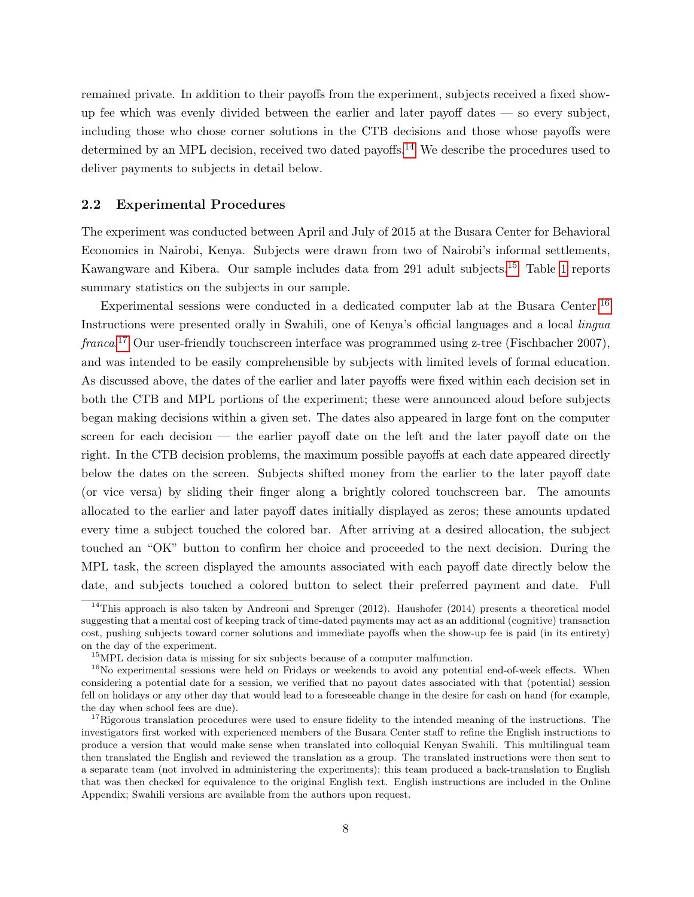remained private. In addition to their payoffs from the experiment, subjects received a fixed showup fee which was evenly divided between the earlier and later payoff dates — so every subject, including those who chose corner solutions in the CTB decisions and those whose payoffs were determined by an MPL decision, received two dated payoffs.<sup>[14](#page-9-0)</sup> We describe the procedures used to deliver payments to subjects in detail below.

#### 2.2 Experimental Procedures

The experiment was conducted between April and July of 2015 at the Busara Center for Behavioral Economics in Nairobi, Kenya. Subjects were drawn from two of Nairobi's informal settlements, Kawangware and Kibera. Our sample includes data from 291 adult subjects.<sup>[15](#page-9-1)</sup> Table [1](#page-29-0) reports summary statistics on the subjects in our sample.

Experimental sessions were conducted in a dedicated computer lab at the Busara Center.[16](#page-9-2) Instructions were presented orally in Swahili, one of Kenya's official languages and a local lingua franca.<sup>[17](#page-9-3)</sup> Our user-friendly touchscreen interface was programmed using z-tree (Fischbacher 2007), and was intended to be easily comprehensible by subjects with limited levels of formal education. As discussed above, the dates of the earlier and later payoffs were fixed within each decision set in both the CTB and MPL portions of the experiment; these were announced aloud before subjects began making decisions within a given set. The dates also appeared in large font on the computer screen for each decision — the earlier payoff date on the left and the later payoff date on the right. In the CTB decision problems, the maximum possible payoffs at each date appeared directly below the dates on the screen. Subjects shifted money from the earlier to the later payoff date (or vice versa) by sliding their finger along a brightly colored touchscreen bar. The amounts allocated to the earlier and later payoff dates initially displayed as zeros; these amounts updated every time a subject touched the colored bar. After arriving at a desired allocation, the subject touched an "OK" button to confirm her choice and proceeded to the next decision. During the MPL task, the screen displayed the amounts associated with each payoff date directly below the date, and subjects touched a colored button to select their preferred payment and date. Full

<span id="page-9-0"></span><sup>&</sup>lt;sup>14</sup>This approach is also taken by Andreoni and Sprenger (2012). Haushofer (2014) presents a theoretical model suggesting that a mental cost of keeping track of time-dated payments may act as an additional (cognitive) transaction cost, pushing subjects toward corner solutions and immediate payoffs when the show-up fee is paid (in its entirety) on the day of the experiment.

<span id="page-9-2"></span><span id="page-9-1"></span><sup>&</sup>lt;sup>15</sup>MPL decision data is missing for six subjects because of a computer malfunction.

<sup>&</sup>lt;sup>16</sup>No experimental sessions were held on Fridays or weekends to avoid any potential end-of-week effects. When considering a potential date for a session, we verified that no payout dates associated with that (potential) session fell on holidays or any other day that would lead to a foreseeable change in the desire for cash on hand (for example, the day when school fees are due).

<span id="page-9-3"></span><sup>&</sup>lt;sup>17</sup>Rigorous translation procedures were used to ensure fidelity to the intended meaning of the instructions. The investigators first worked with experienced members of the Busara Center staff to refine the English instructions to produce a version that would make sense when translated into colloquial Kenyan Swahili. This multilingual team then translated the English and reviewed the translation as a group. The translated instructions were then sent to a separate team (not involved in administering the experiments); this team produced a back-translation to English that was then checked for equivalence to the original English text. English instructions are included in the Online Appendix; Swahili versions are available from the authors upon request.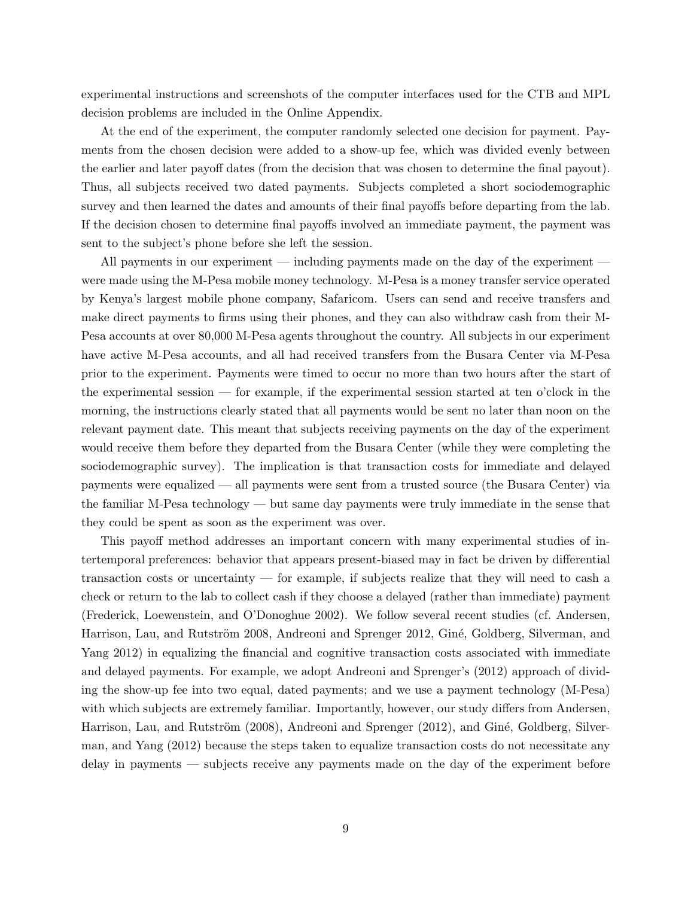experimental instructions and screenshots of the computer interfaces used for the CTB and MPL decision problems are included in the Online Appendix.

At the end of the experiment, the computer randomly selected one decision for payment. Payments from the chosen decision were added to a show-up fee, which was divided evenly between the earlier and later payoff dates (from the decision that was chosen to determine the final payout). Thus, all subjects received two dated payments. Subjects completed a short sociodemographic survey and then learned the dates and amounts of their final payoffs before departing from the lab. If the decision chosen to determine final payoffs involved an immediate payment, the payment was sent to the subject's phone before she left the session.

All payments in our experiment — including payments made on the day of the experiment were made using the M-Pesa mobile money technology. M-Pesa is a money transfer service operated by Kenya's largest mobile phone company, Safaricom. Users can send and receive transfers and make direct payments to firms using their phones, and they can also withdraw cash from their M-Pesa accounts at over 80,000 M-Pesa agents throughout the country. All subjects in our experiment have active M-Pesa accounts, and all had received transfers from the Busara Center via M-Pesa prior to the experiment. Payments were timed to occur no more than two hours after the start of the experimental session — for example, if the experimental session started at ten o'clock in the morning, the instructions clearly stated that all payments would be sent no later than noon on the relevant payment date. This meant that subjects receiving payments on the day of the experiment would receive them before they departed from the Busara Center (while they were completing the sociodemographic survey). The implication is that transaction costs for immediate and delayed payments were equalized — all payments were sent from a trusted source (the Busara Center) via the familiar M-Pesa technology — but same day payments were truly immediate in the sense that they could be spent as soon as the experiment was over.

This payoff method addresses an important concern with many experimental studies of intertemporal preferences: behavior that appears present-biased may in fact be driven by differential transaction costs or uncertainty — for example, if subjects realize that they will need to cash a check or return to the lab to collect cash if they choose a delayed (rather than immediate) payment (Frederick, Loewenstein, and O'Donoghue 2002). We follow several recent studies (cf. Andersen, Harrison, Lau, and Rutström 2008, Andreoni and Sprenger 2012, Giné, Goldberg, Silverman, and Yang 2012) in equalizing the financial and cognitive transaction costs associated with immediate and delayed payments. For example, we adopt Andreoni and Sprenger's (2012) approach of dividing the show-up fee into two equal, dated payments; and we use a payment technology (M-Pesa) with which subjects are extremely familiar. Importantly, however, our study differs from Andersen, Harrison, Lau, and Rutström (2008), Andreoni and Sprenger (2012), and Giné, Goldberg, Silverman, and Yang (2012) because the steps taken to equalize transaction costs do not necessitate any delay in payments — subjects receive any payments made on the day of the experiment before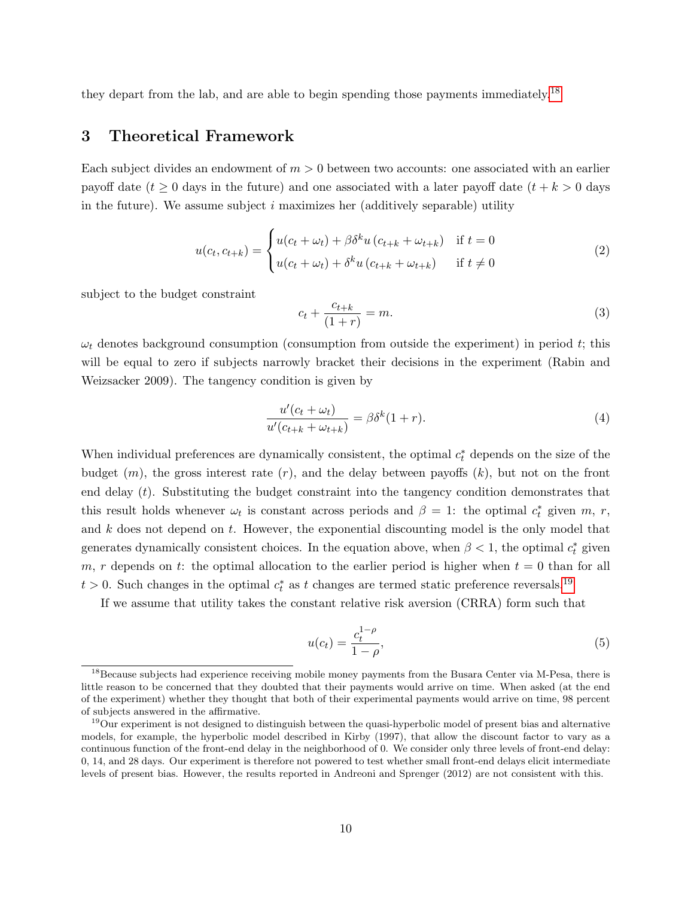they depart from the lab, and are able to begin spending those payments immediately.<sup>[18](#page-11-1)</sup>

### <span id="page-11-0"></span>3 Theoretical Framework

Each subject divides an endowment of  $m > 0$  between two accounts: one associated with an earlier payoff date ( $t \geq 0$  days in the future) and one associated with a later payoff date ( $t + k > 0$  days in the future). We assume subject  $i$  maximizes her (additively separable) utility

$$
u(c_t, c_{t+k}) = \begin{cases} u(c_t + \omega_t) + \beta \delta^k u(c_{t+k} + \omega_{t+k}) & \text{if } t = 0\\ u(c_t + \omega_t) + \delta^k u(c_{t+k} + \omega_{t+k}) & \text{if } t \neq 0 \end{cases}
$$
(2)

subject to the budget constraint

$$
c_t + \frac{c_{t+k}}{(1+r)} = m.
$$
\n
$$
(3)
$$

 $\omega_t$  denotes background consumption (consumption from outside the experiment) in period t; this will be equal to zero if subjects narrowly bracket their decisions in the experiment (Rabin and Weizsacker 2009). The tangency condition is given by

<span id="page-11-3"></span>
$$
\frac{u'(c_t + \omega_t)}{u'(c_{t+k} + \omega_{t+k})} = \beta \delta^k (1+r). \tag{4}
$$

When individual preferences are dynamically consistent, the optimal  $c_t^*$  depends on the size of the budget  $(m)$ , the gross interest rate  $(r)$ , and the delay between payoffs  $(k)$ , but not on the front end delay  $(t)$ . Substituting the budget constraint into the tangency condition demonstrates that this result holds whenever  $\omega_t$  is constant across periods and  $\beta = 1$ : the optimal  $c_t^*$  given m, r, and k does not depend on t. However, the exponential discounting model is the only model that generates dynamically consistent choices. In the equation above, when  $\beta < 1$ , the optimal  $c_t^*$  given m, r depends on t: the optimal allocation to the earlier period is higher when  $t = 0$  than for all  $t > 0$ . Such changes in the optimal  $c_t^*$  as t changes are termed static preference reversals.<sup>[19](#page-11-2)</sup>

If we assume that utility takes the constant relative risk aversion (CRRA) form such that

$$
u(c_t) = \frac{c_t^{1-\rho}}{1-\rho},\tag{5}
$$

<span id="page-11-1"></span><sup>&</sup>lt;sup>18</sup>Because subjects had experience receiving mobile money payments from the Busara Center via M-Pesa, there is little reason to be concerned that they doubted that their payments would arrive on time. When asked (at the end of the experiment) whether they thought that both of their experimental payments would arrive on time, 98 percent of subjects answered in the affirmative.

<span id="page-11-2"></span><sup>&</sup>lt;sup>19</sup>Our experiment is not designed to distinguish between the quasi-hyperbolic model of present bias and alternative models, for example, the hyperbolic model described in Kirby (1997), that allow the discount factor to vary as a continuous function of the front-end delay in the neighborhood of 0. We consider only three levels of front-end delay: 0, 14, and 28 days. Our experiment is therefore not powered to test whether small front-end delays elicit intermediate levels of present bias. However, the results reported in Andreoni and Sprenger (2012) are not consistent with this.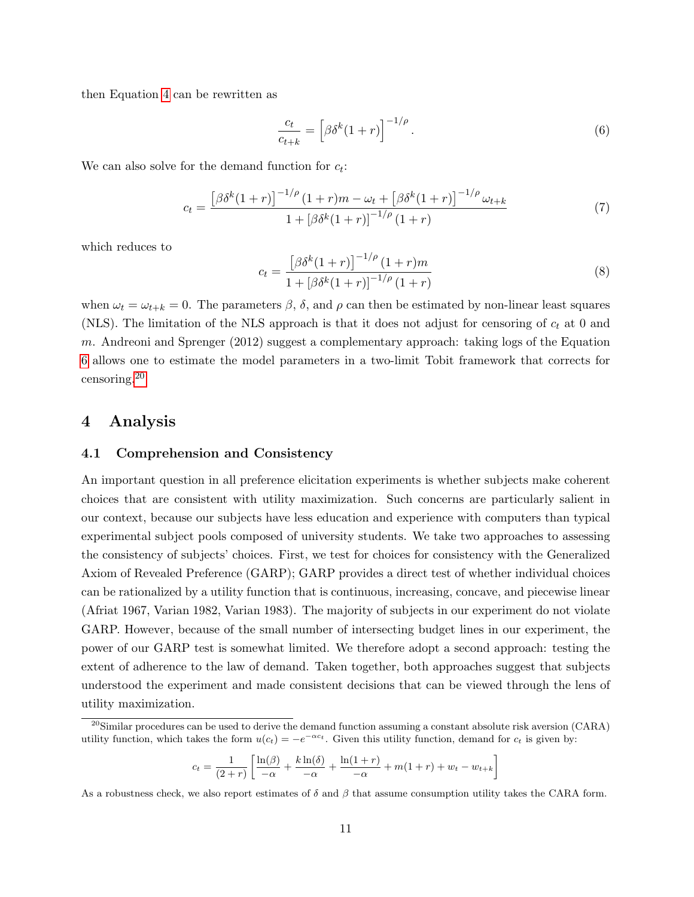then Equation [4](#page-11-3) can be rewritten as

<span id="page-12-1"></span>
$$
\frac{c_t}{c_{t+k}} = \left[\beta \delta^k (1+r)\right]^{-1/\rho}.
$$
\n(6)

We can also solve for the demand function for  $c_t$ :

<span id="page-12-3"></span>
$$
c_{t} = \frac{\left[\beta\delta^{k}(1+r)\right]^{-1/\rho}(1+r)m - \omega_{t} + \left[\beta\delta^{k}(1+r)\right]^{-1/\rho}\omega_{t+k}}{1 + \left[\beta\delta^{k}(1+r)\right]^{-1/\rho}(1+r)}
$$
(7)

which reduces to

$$
c_{t} = \frac{\left[\beta \delta^{k} (1+r)\right]^{-1/\rho} (1+r)m}{1 + \left[\beta \delta^{k} (1+r)\right]^{-1/\rho} (1+r)}
$$
\n(8)

when  $\omega_t = \omega_{t+k} = 0$ . The parameters  $\beta$ ,  $\delta$ , and  $\rho$  can then be estimated by non-linear least squares (NLS). The limitation of the NLS approach is that it does not adjust for censoring of  $c_t$  at 0 and m. Andreoni and Sprenger (2012) suggest a complementary approach: taking logs of the Equation [6](#page-12-1) allows one to estimate the model parameters in a two-limit Tobit framework that corrects for censoring.[20](#page-12-2)

### <span id="page-12-0"></span>4 Analysis

#### 4.1 Comprehension and Consistency

An important question in all preference elicitation experiments is whether subjects make coherent choices that are consistent with utility maximization. Such concerns are particularly salient in our context, because our subjects have less education and experience with computers than typical experimental subject pools composed of university students. We take two approaches to assessing the consistency of subjects' choices. First, we test for choices for consistency with the Generalized Axiom of Revealed Preference (GARP); GARP provides a direct test of whether individual choices can be rationalized by a utility function that is continuous, increasing, concave, and piecewise linear (Afriat 1967, Varian 1982, Varian 1983). The majority of subjects in our experiment do not violate GARP. However, because of the small number of intersecting budget lines in our experiment, the power of our GARP test is somewhat limited. We therefore adopt a second approach: testing the extent of adherence to the law of demand. Taken together, both approaches suggest that subjects understood the experiment and made consistent decisions that can be viewed through the lens of utility maximization.

$$
c_t = \frac{1}{(2+r)} \left[ \frac{\ln(\beta)}{-\alpha} + \frac{k \ln(\delta)}{-\alpha} + \frac{\ln(1+r)}{-\alpha} + m(1+r) + w_t - w_{t+k} \right]
$$

<span id="page-12-2"></span> $^{20}$ Similar procedures can be used to derive the demand function assuming a constant absolute risk aversion (CARA) utility function, which takes the form  $u(c_t) = -e^{-\alpha c_t}$ . Given this utility function, demand for  $c_t$  is given by:

As a robustness check, we also report estimates of  $\delta$  and  $\beta$  that assume consumption utility takes the CARA form.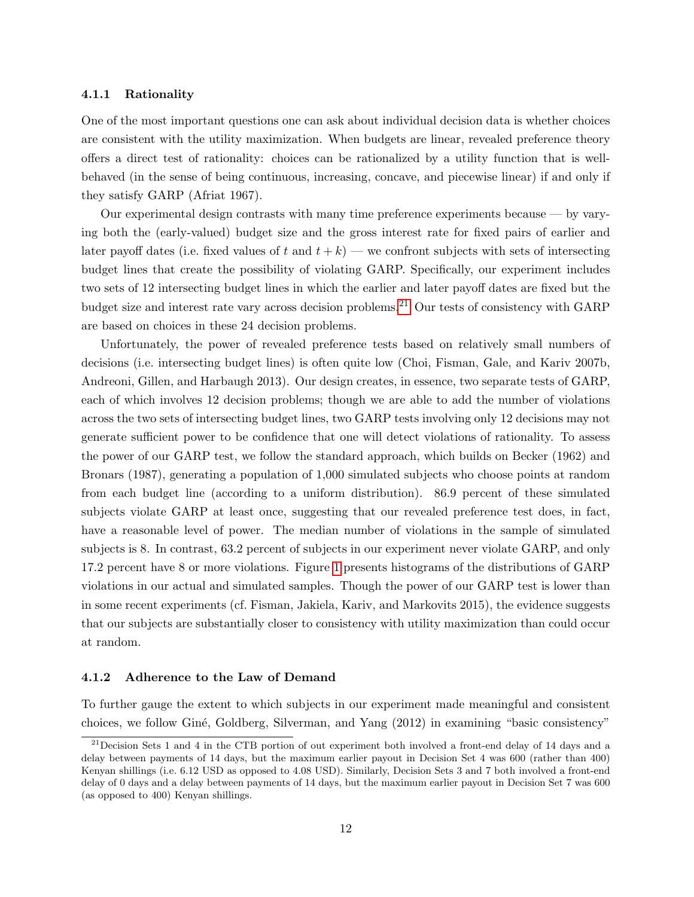#### 4.1.1 Rationality

One of the most important questions one can ask about individual decision data is whether choices are consistent with the utility maximization. When budgets are linear, revealed preference theory offers a direct test of rationality: choices can be rationalized by a utility function that is wellbehaved (in the sense of being continuous, increasing, concave, and piecewise linear) if and only if they satisfy GARP (Afriat 1967).

Our experimental design contrasts with many time preference experiments because — by varying both the (early-valued) budget size and the gross interest rate for fixed pairs of earlier and later payoff dates (i.e. fixed values of t and  $t + k$ ) — we confront subjects with sets of intersecting budget lines that create the possibility of violating GARP. Specifically, our experiment includes two sets of 12 intersecting budget lines in which the earlier and later payoff dates are fixed but the budget size and interest rate vary across decision problems.<sup>[21](#page-13-0)</sup> Our tests of consistency with GARP are based on choices in these 24 decision problems.

Unfortunately, the power of revealed preference tests based on relatively small numbers of decisions (i.e. intersecting budget lines) is often quite low (Choi, Fisman, Gale, and Kariv 2007b, Andreoni, Gillen, and Harbaugh 2013). Our design creates, in essence, two separate tests of GARP, each of which involves 12 decision problems; though we are able to add the number of violations across the two sets of intersecting budget lines, two GARP tests involving only 12 decisions may not generate sufficient power to be confidence that one will detect violations of rationality. To assess the power of our GARP test, we follow the standard approach, which builds on Becker (1962) and Bronars (1987), generating a population of 1,000 simulated subjects who choose points at random from each budget line (according to a uniform distribution). 86.9 percent of these simulated subjects violate GARP at least once, suggesting that our revealed preference test does, in fact, have a reasonable level of power. The median number of violations in the sample of simulated subjects is 8. In contrast, 63.2 percent of subjects in our experiment never violate GARP, and only 17.2 percent have 8 or more violations. Figure [1](#page-32-0) presents histograms of the distributions of GARP violations in our actual and simulated samples. Though the power of our GARP test is lower than in some recent experiments (cf. Fisman, Jakiela, Kariv, and Markovits 2015), the evidence suggests that our subjects are substantially closer to consistency with utility maximization than could occur at random.

#### 4.1.2 Adherence to the Law of Demand

To further gauge the extent to which subjects in our experiment made meaningful and consistent choices, we follow Gin´e, Goldberg, Silverman, and Yang (2012) in examining "basic consistency"

<span id="page-13-0"></span><sup>21</sup>Decision Sets 1 and 4 in the CTB portion of out experiment both involved a front-end delay of 14 days and a delay between payments of 14 days, but the maximum earlier payout in Decision Set 4 was 600 (rather than 400) Kenyan shillings (i.e. 6.12 USD as opposed to 4.08 USD). Similarly, Decision Sets 3 and 7 both involved a front-end delay of 0 days and a delay between payments of 14 days, but the maximum earlier payout in Decision Set 7 was 600 (as opposed to 400) Kenyan shillings.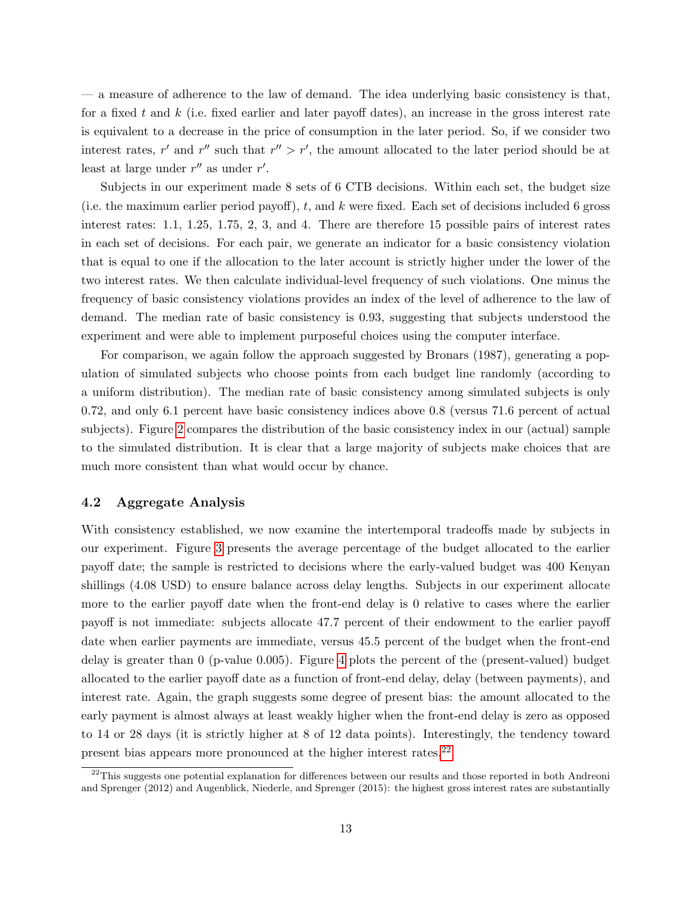— a measure of adherence to the law of demand. The idea underlying basic consistency is that, for a fixed t and  $k$  (i.e. fixed earlier and later payoff dates), an increase in the gross interest rate is equivalent to a decrease in the price of consumption in the later period. So, if we consider two interest rates, r' and r'' such that  $r'' > r'$ , the amount allocated to the later period should be at least at large under  $r''$  as under  $r'$ .

Subjects in our experiment made 8 sets of 6 CTB decisions. Within each set, the budget size (i.e. the maximum earlier period payoff),  $t$ , and  $k$  were fixed. Each set of decisions included 6 gross interest rates: 1.1, 1.25, 1.75, 2, 3, and 4. There are therefore 15 possible pairs of interest rates in each set of decisions. For each pair, we generate an indicator for a basic consistency violation that is equal to one if the allocation to the later account is strictly higher under the lower of the two interest rates. We then calculate individual-level frequency of such violations. One minus the frequency of basic consistency violations provides an index of the level of adherence to the law of demand. The median rate of basic consistency is 0.93, suggesting that subjects understood the experiment and were able to implement purposeful choices using the computer interface.

For comparison, we again follow the approach suggested by Bronars (1987), generating a population of simulated subjects who choose points from each budget line randomly (according to a uniform distribution). The median rate of basic consistency among simulated subjects is only 0.72, and only 6.1 percent have basic consistency indices above 0.8 (versus 71.6 percent of actual subjects). Figure [2](#page-33-0) compares the distribution of the basic consistency index in our (actual) sample to the simulated distribution. It is clear that a large majority of subjects make choices that are much more consistent than what would occur by chance.

#### 4.2 Aggregate Analysis

With consistency established, we now examine the intertemporal tradeoffs made by subjects in our experiment. Figure [3](#page-34-0) presents the average percentage of the budget allocated to the earlier payoff date; the sample is restricted to decisions where the early-valued budget was 400 Kenyan shillings (4.08 USD) to ensure balance across delay lengths. Subjects in our experiment allocate more to the earlier payoff date when the front-end delay is 0 relative to cases where the earlier payoff is not immediate: subjects allocate 47.7 percent of their endowment to the earlier payoff date when earlier payments are immediate, versus 45.5 percent of the budget when the front-end delay is greater than 0 (p-value 0.005). Figure [4](#page-35-0) plots the percent of the (present-valued) budget allocated to the earlier payoff date as a function of front-end delay, delay (between payments), and interest rate. Again, the graph suggests some degree of present bias: the amount allocated to the early payment is almost always at least weakly higher when the front-end delay is zero as opposed to 14 or 28 days (it is strictly higher at 8 of 12 data points). Interestingly, the tendency toward present bias appears more pronounced at the higher interest rates.[22](#page-14-0)

<span id="page-14-0"></span> $^{22}$ This suggests one potential explanation for differences between our results and those reported in both Andreoni and Sprenger (2012) and Augenblick, Niederle, and Sprenger (2015): the highest gross interest rates are substantially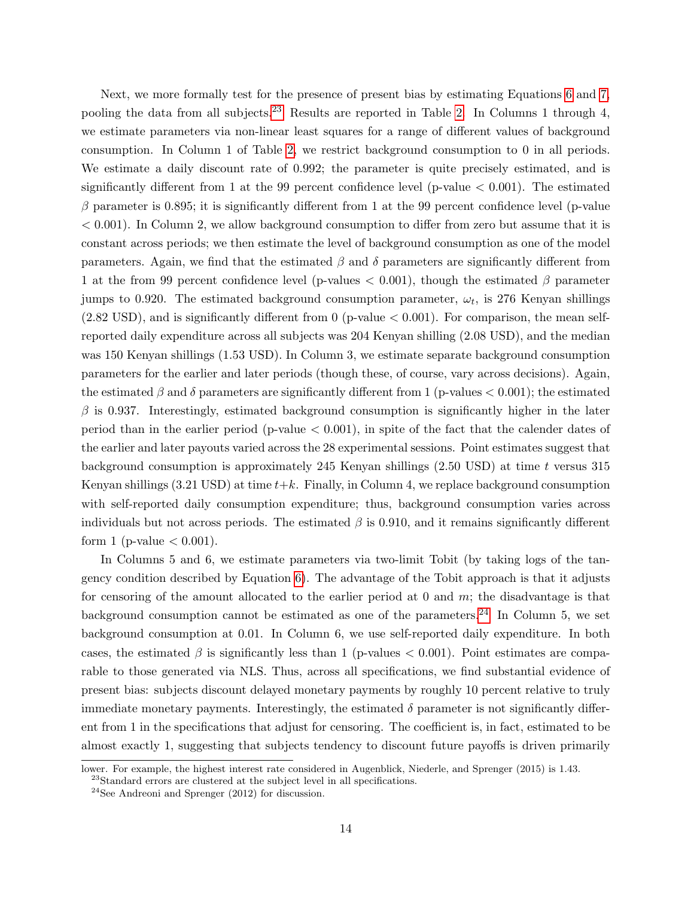Next, we more formally test for the presence of present bias by estimating Equations [6](#page-12-1) and [7,](#page-12-3) pooling the data from all subjects.<sup>[23](#page-15-0)</sup> Results are reported in Table [2.](#page-29-1) In Columns 1 through 4, we estimate parameters via non-linear least squares for a range of different values of background consumption. In Column 1 of Table [2,](#page-29-1) we restrict background consumption to 0 in all periods. We estimate a daily discount rate of 0.992; the parameter is quite precisely estimated, and is significantly different from 1 at the 99 percent confidence level (p-value  $< 0.001$ ). The estimated  $\beta$  parameter is 0.895; it is significantly different from 1 at the 99 percent confidence level (p-value  $< 0.001$ ). In Column 2, we allow background consumption to differ from zero but assume that it is constant across periods; we then estimate the level of background consumption as one of the model parameters. Again, we find that the estimated  $\beta$  and  $\delta$  parameters are significantly different from 1 at the from 99 percent confidence level (p-values  $< 0.001$ ), though the estimated  $\beta$  parameter jumps to 0.920. The estimated background consumption parameter,  $\omega_t$ , is 276 Kenyan shillings  $(2.82 \text{ USD})$ , and is significantly different from 0 (p-value  $< 0.001$ ). For comparison, the mean selfreported daily expenditure across all subjects was 204 Kenyan shilling (2.08 USD), and the median was 150 Kenyan shillings (1.53 USD). In Column 3, we estimate separate background consumption parameters for the earlier and later periods (though these, of course, vary across decisions). Again, the estimated  $\beta$  and  $\delta$  parameters are significantly different from 1 (p-values  $< 0.001$ ); the estimated  $\beta$  is 0.937. Interestingly, estimated background consumption is significantly higher in the later period than in the earlier period (p-value  $< 0.001$ ), in spite of the fact that the calender dates of the earlier and later payouts varied across the 28 experimental sessions. Point estimates suggest that background consumption is approximately 245 Kenyan shillings  $(2.50 \text{ USD})$  at time t versus 315 Kenyan shillings  $(3.21 \text{ USD})$  at time  $t+k$ . Finally, in Column 4, we replace background consumption with self-reported daily consumption expenditure; thus, background consumption varies across individuals but not across periods. The estimated  $\beta$  is 0.910, and it remains significantly different form 1 (p-value  $< 0.001$ ).

In Columns 5 and 6, we estimate parameters via two-limit Tobit (by taking logs of the tangency condition described by Equation [6\)](#page-12-1). The advantage of the Tobit approach is that it adjusts for censoring of the amount allocated to the earlier period at  $0$  and  $m$ ; the disadvantage is that background consumption cannot be estimated as one of the parameters.<sup>[24](#page-15-1)</sup> In Column 5, we set background consumption at 0.01. In Column 6, we use self-reported daily expenditure. In both cases, the estimated  $\beta$  is significantly less than 1 (p-values  $< 0.001$ ). Point estimates are comparable to those generated via NLS. Thus, across all specifications, we find substantial evidence of present bias: subjects discount delayed monetary payments by roughly 10 percent relative to truly immediate monetary payments. Interestingly, the estimated  $\delta$  parameter is not significantly different from 1 in the specifications that adjust for censoring. The coefficient is, in fact, estimated to be almost exactly 1, suggesting that subjects tendency to discount future payoffs is driven primarily

lower. For example, the highest interest rate considered in Augenblick, Niederle, and Sprenger (2015) is 1.43.

<span id="page-15-0"></span> $^{23}$ Standard errors are clustered at the subject level in all specifications.

<span id="page-15-1"></span> $24$ See Andreoni and Sprenger (2012) for discussion.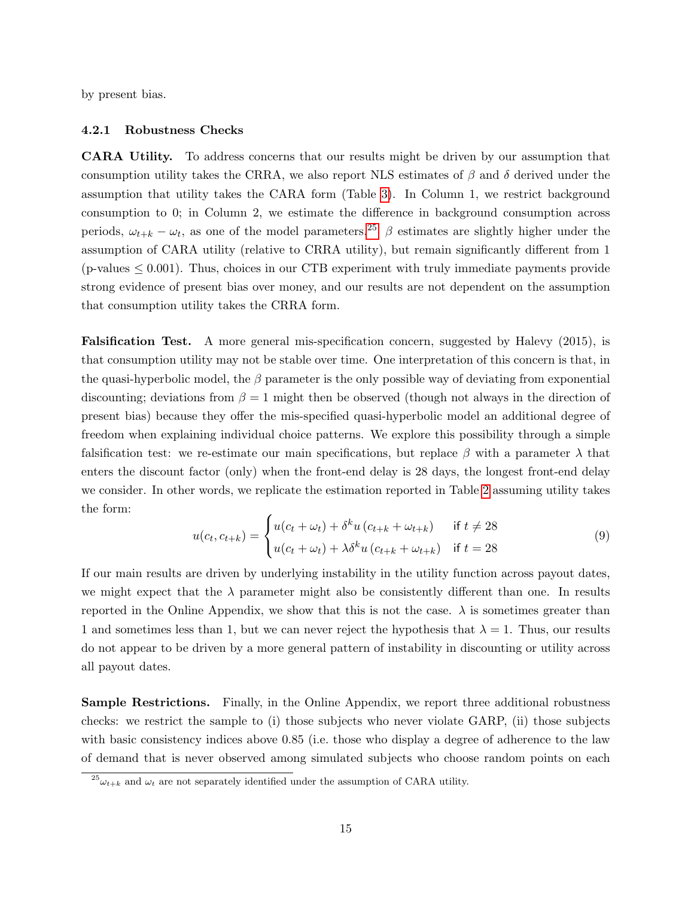by present bias.

#### 4.2.1 Robustness Checks

CARA Utility. To address concerns that our results might be driven by our assumption that consumption utility takes the CRRA, we also report NLS estimates of  $\beta$  and  $\delta$  derived under the assumption that utility takes the CARA form (Table [3\)](#page-30-0). In Column 1, we restrict background consumption to 0; in Column 2, we estimate the difference in background consumption across periods,  $\omega_{t+k} - \omega_t$ , as one of the model parameters.<sup>[25](#page-16-0)</sup>  $\beta$  estimates are slightly higher under the assumption of CARA utility (relative to CRRA utility), but remain significantly different from 1  $(p$ -values  $\leq 0.001$ ). Thus, choices in our CTB experiment with truly immediate payments provide strong evidence of present bias over money, and our results are not dependent on the assumption that consumption utility takes the CRRA form.

Falsification Test. A more general mis-specification concern, suggested by Halevy (2015), is that consumption utility may not be stable over time. One interpretation of this concern is that, in the quasi-hyperbolic model, the  $\beta$  parameter is the only possible way of deviating from exponential discounting; deviations from  $\beta = 1$  might then be observed (though not always in the direction of present bias) because they offer the mis-specified quasi-hyperbolic model an additional degree of freedom when explaining individual choice patterns. We explore this possibility through a simple falsification test: we re-estimate our main specifications, but replace  $\beta$  with a parameter  $\lambda$  that enters the discount factor (only) when the front-end delay is 28 days, the longest front-end delay we consider. In other words, we replicate the estimation reported in Table [2](#page-29-1) assuming utility takes the form:

$$
u(c_t, c_{t+k}) = \begin{cases} u(c_t + \omega_t) + \delta^k u(c_{t+k} + \omega_{t+k}) & \text{if } t \neq 28\\ u(c_t + \omega_t) + \lambda \delta^k u(c_{t+k} + \omega_{t+k}) & \text{if } t = 28 \end{cases}
$$
(9)

If our main results are driven by underlying instability in the utility function across payout dates, we might expect that the  $\lambda$  parameter might also be consistently different than one. In results reported in the Online Appendix, we show that this is not the case.  $\lambda$  is sometimes greater than 1 and sometimes less than 1, but we can never reject the hypothesis that  $\lambda = 1$ . Thus, our results do not appear to be driven by a more general pattern of instability in discounting or utility across all payout dates.

Sample Restrictions. Finally, in the Online Appendix, we report three additional robustness checks: we restrict the sample to (i) those subjects who never violate GARP, (ii) those subjects with basic consistency indices above 0.85 (i.e. those who display a degree of adherence to the law of demand that is never observed among simulated subjects who choose random points on each

<span id="page-16-0"></span> $^{25}\omega_{t+k}$  and  $\omega_t$  are not separately identified under the assumption of CARA utility.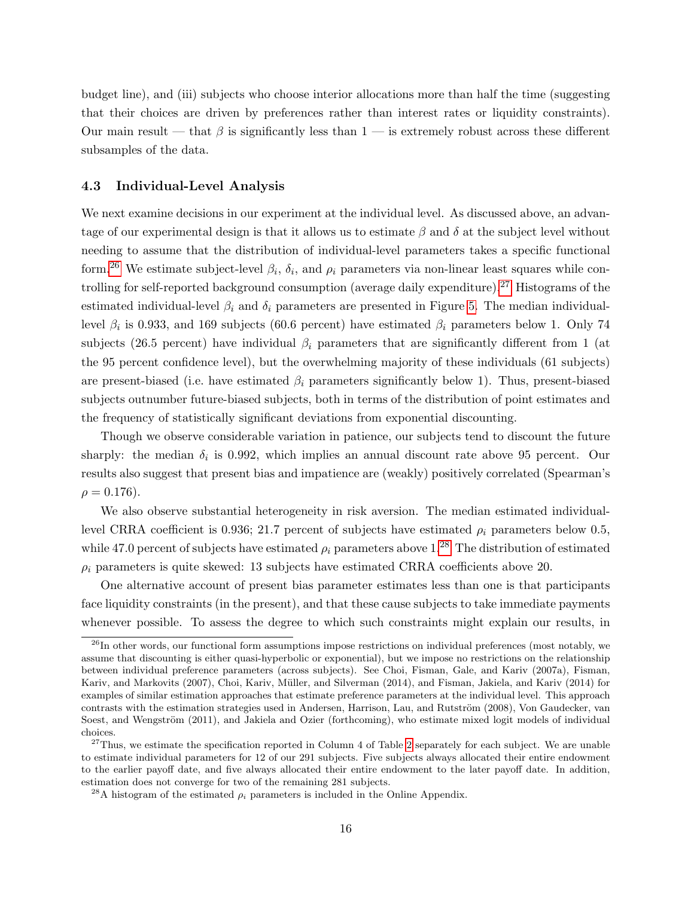budget line), and (iii) subjects who choose interior allocations more than half the time (suggesting that their choices are driven by preferences rather than interest rates or liquidity constraints). Our main result — that  $\beta$  is significantly less than 1 — is extremely robust across these different subsamples of the data.

#### 4.3 Individual-Level Analysis

We next examine decisions in our experiment at the individual level. As discussed above, an advantage of our experimental design is that it allows us to estimate  $\beta$  and  $\delta$  at the subject level without needing to assume that the distribution of individual-level parameters takes a specific functional form.<sup>[26](#page-17-0)</sup> We estimate subject-level  $\beta_i$ ,  $\delta_i$ , and  $\rho_i$  parameters via non-linear least squares while controlling for self-reported background consumption (average daily expenditure).[27](#page-17-1) Histograms of the estimated individual-level  $\beta_i$  and  $\delta_i$  parameters are presented in Figure [5.](#page-36-0) The median individuallevel  $\beta_i$  is 0.933, and 169 subjects (60.6 percent) have estimated  $\beta_i$  parameters below 1. Only 74 subjects (26.5 percent) have individual  $\beta_i$  parameters that are significantly different from 1 (at the 95 percent confidence level), but the overwhelming majority of these individuals (61 subjects) are present-biased (i.e. have estimated  $\beta_i$  parameters significantly below 1). Thus, present-biased subjects outnumber future-biased subjects, both in terms of the distribution of point estimates and the frequency of statistically significant deviations from exponential discounting.

Though we observe considerable variation in patience, our subjects tend to discount the future sharply: the median  $\delta_i$  is 0.992, which implies an annual discount rate above 95 percent. Our results also suggest that present bias and impatience are (weakly) positively correlated (Spearman's  $\rho = 0.176$ ).

We also observe substantial heterogeneity in risk aversion. The median estimated individuallevel CRRA coefficient is 0.936; 21.7 percent of subjects have estimated  $\rho_i$  parameters below 0.5, while 47.0 percent of subjects have estimated  $\rho_i$  parameters above 1.<sup>[28](#page-17-2)</sup> The distribution of estimated  $\rho_i$  parameters is quite skewed: 13 subjects have estimated CRRA coefficients above 20.

One alternative account of present bias parameter estimates less than one is that participants face liquidity constraints (in the present), and that these cause subjects to take immediate payments whenever possible. To assess the degree to which such constraints might explain our results, in

<span id="page-17-0"></span> $^{26}$ In other words, our functional form assumptions impose restrictions on individual preferences (most notably, we assume that discounting is either quasi-hyperbolic or exponential), but we impose no restrictions on the relationship between individual preference parameters (across subjects). See Choi, Fisman, Gale, and Kariv (2007a), Fisman, Kariv, and Markovits (2007), Choi, Kariv, M¨uller, and Silverman (2014), and Fisman, Jakiela, and Kariv (2014) for examples of similar estimation approaches that estimate preference parameters at the individual level. This approach contrasts with the estimation strategies used in Andersen, Harrison, Lau, and Rutström (2008), Von Gaudecker, van Soest, and Wengström (2011), and Jakiela and Ozier (forthcoming), who estimate mixed logit models of individual choices.

<span id="page-17-1"></span> $27$ Thus, we estimate the specification reported in Column 4 of Table [2](#page-29-1) separately for each subject. We are unable to estimate individual parameters for 12 of our 291 subjects. Five subjects always allocated their entire endowment to the earlier payoff date, and five always allocated their entire endowment to the later payoff date. In addition, estimation does not converge for two of the remaining 281 subjects.

<span id="page-17-2"></span><sup>&</sup>lt;sup>28</sup>A histogram of the estimated  $\rho_i$  parameters is included in the Online Appendix.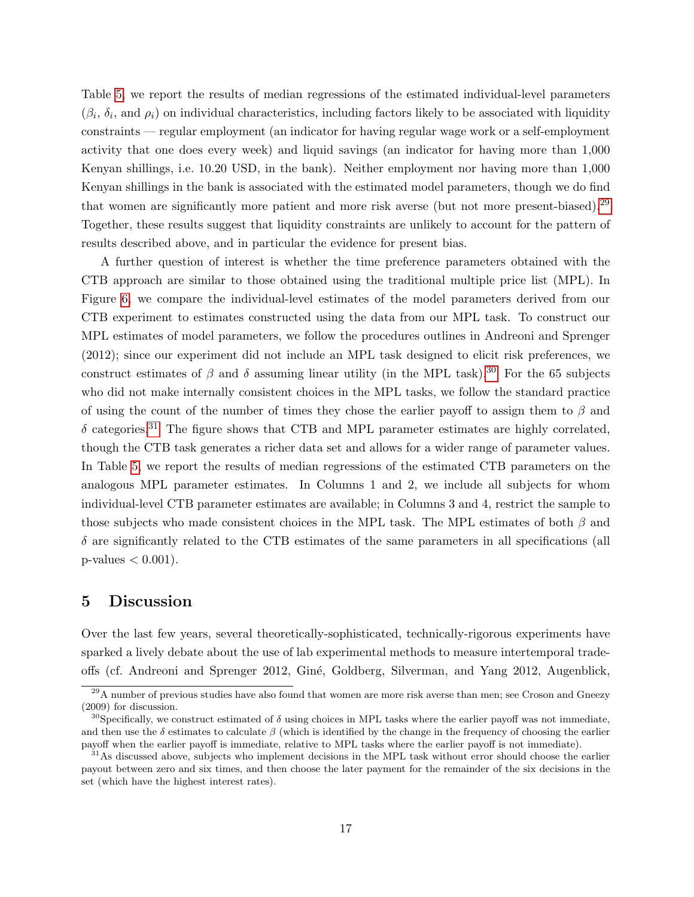Table [5,](#page-31-0) we report the results of median regressions of the estimated individual-level parameters  $(\beta_i, \delta_i, \text{ and } \rho_i)$  on individual characteristics, including factors likely to be associated with liquidity constraints — regular employment (an indicator for having regular wage work or a self-employment activity that one does every week) and liquid savings (an indicator for having more than 1,000 Kenyan shillings, i.e. 10.20 USD, in the bank). Neither employment nor having more than 1,000 Kenyan shillings in the bank is associated with the estimated model parameters, though we do find that women are significantly more patient and more risk averse (but not more present-biased).[29](#page-18-1) Together, these results suggest that liquidity constraints are unlikely to account for the pattern of results described above, and in particular the evidence for present bias.

A further question of interest is whether the time preference parameters obtained with the CTB approach are similar to those obtained using the traditional multiple price list (MPL). In Figure [6,](#page-37-0) we compare the individual-level estimates of the model parameters derived from our CTB experiment to estimates constructed using the data from our MPL task. To construct our MPL estimates of model parameters, we follow the procedures outlines in Andreoni and Sprenger (2012); since our experiment did not include an MPL task designed to elicit risk preferences, we construct estimates of  $\beta$  and  $\delta$  assuming linear utility (in the MPL task).<sup>[30](#page-18-2)</sup> For the 65 subjects who did not make internally consistent choices in the MPL tasks, we follow the standard practice of using the count of the number of times they chose the earlier payoff to assign them to  $\beta$  and  $\delta$  categories.<sup>[31](#page-18-3)</sup> The figure shows that CTB and MPL parameter estimates are highly correlated, though the CTB task generates a richer data set and allows for a wider range of parameter values. In Table [5,](#page-31-0) we report the results of median regressions of the estimated CTB parameters on the analogous MPL parameter estimates. In Columns 1 and 2, we include all subjects for whom individual-level CTB parameter estimates are available; in Columns 3 and 4, restrict the sample to those subjects who made consistent choices in the MPL task. The MPL estimates of both  $\beta$  and  $\delta$  are significantly related to the CTB estimates of the same parameters in all specifications (all  $p$ -values  $< 0.001$ ).

### <span id="page-18-0"></span>5 Discussion

Over the last few years, several theoretically-sophisticated, technically-rigorous experiments have sparked a lively debate about the use of lab experimental methods to measure intertemporal tradeoffs (cf. Andreoni and Sprenger 2012, Gin´e, Goldberg, Silverman, and Yang 2012, Augenblick,

<span id="page-18-1"></span><sup>&</sup>lt;sup>29</sup>A number of previous studies have also found that women are more risk averse than men; see Croson and Gneezy (2009) for discussion.

<span id="page-18-2"></span><sup>&</sup>lt;sup>30</sup>Specifically, we construct estimated of  $\delta$  using choices in MPL tasks where the earlier payoff was not immediate, and then use the  $\delta$  estimates to calculate  $\beta$  (which is identified by the change in the frequency of choosing the earlier payoff when the earlier payoff is immediate, relative to MPL tasks where the earlier payoff is not immediate).

<span id="page-18-3"></span> $31\text{As}$  discussed above, subjects who implement decisions in the MPL task without error should choose the earlier payout between zero and six times, and then choose the later payment for the remainder of the six decisions in the set (which have the highest interest rates).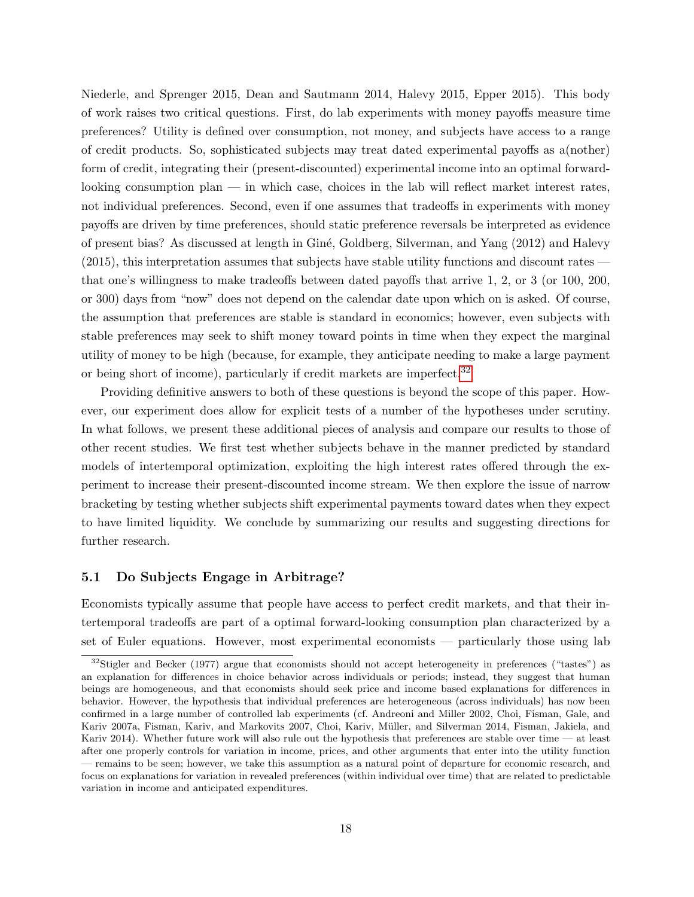Niederle, and Sprenger 2015, Dean and Sautmann 2014, Halevy 2015, Epper 2015). This body of work raises two critical questions. First, do lab experiments with money payoffs measure time preferences? Utility is defined over consumption, not money, and subjects have access to a range of credit products. So, sophisticated subjects may treat dated experimental payoffs as a(nother) form of credit, integrating their (present-discounted) experimental income into an optimal forwardlooking consumption plan — in which case, choices in the lab will reflect market interest rates, not individual preferences. Second, even if one assumes that tradeoffs in experiments with money payoffs are driven by time preferences, should static preference reversals be interpreted as evidence of present bias? As discussed at length in Gin´e, Goldberg, Silverman, and Yang (2012) and Halevy (2015), this interpretation assumes that subjects have stable utility functions and discount rates that one's willingness to make tradeoffs between dated payoffs that arrive 1, 2, or 3 (or 100, 200, or 300) days from "now" does not depend on the calendar date upon which on is asked. Of course, the assumption that preferences are stable is standard in economics; however, even subjects with stable preferences may seek to shift money toward points in time when they expect the marginal utility of money to be high (because, for example, they anticipate needing to make a large payment or being short of income), particularly if credit markets are imperfect.<sup>[32](#page-19-0)</sup>

Providing definitive answers to both of these questions is beyond the scope of this paper. However, our experiment does allow for explicit tests of a number of the hypotheses under scrutiny. In what follows, we present these additional pieces of analysis and compare our results to those of other recent studies. We first test whether subjects behave in the manner predicted by standard models of intertemporal optimization, exploiting the high interest rates offered through the experiment to increase their present-discounted income stream. We then explore the issue of narrow bracketing by testing whether subjects shift experimental payments toward dates when they expect to have limited liquidity. We conclude by summarizing our results and suggesting directions for further research.

#### 5.1 Do Subjects Engage in Arbitrage?

Economists typically assume that people have access to perfect credit markets, and that their intertemporal tradeoffs are part of a optimal forward-looking consumption plan characterized by a set of Euler equations. However, most experimental economists — particularly those using lab

<span id="page-19-0"></span> $32$ Stigler and Becker (1977) argue that economists should not accept heterogeneity in preferences ("tastes") as an explanation for differences in choice behavior across individuals or periods; instead, they suggest that human beings are homogeneous, and that economists should seek price and income based explanations for differences in behavior. However, the hypothesis that individual preferences are heterogeneous (across individuals) has now been confirmed in a large number of controlled lab experiments (cf. Andreoni and Miller 2002, Choi, Fisman, Gale, and Kariv 2007a, Fisman, Kariv, and Markovits 2007, Choi, Kariv, M¨uller, and Silverman 2014, Fisman, Jakiela, and Kariv 2014). Whether future work will also rule out the hypothesis that preferences are stable over time — at least after one properly controls for variation in income, prices, and other arguments that enter into the utility function — remains to be seen; however, we take this assumption as a natural point of departure for economic research, and focus on explanations for variation in revealed preferences (within individual over time) that are related to predictable variation in income and anticipated expenditures.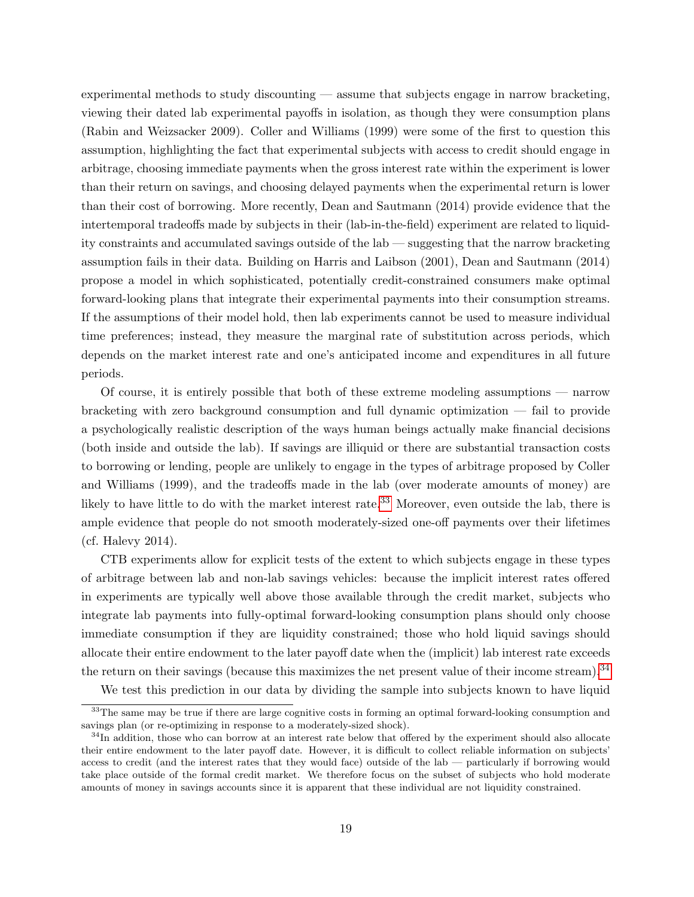experimental methods to study discounting — assume that subjects engage in narrow bracketing, viewing their dated lab experimental payoffs in isolation, as though they were consumption plans (Rabin and Weizsacker 2009). Coller and Williams (1999) were some of the first to question this assumption, highlighting the fact that experimental subjects with access to credit should engage in arbitrage, choosing immediate payments when the gross interest rate within the experiment is lower than their return on savings, and choosing delayed payments when the experimental return is lower than their cost of borrowing. More recently, Dean and Sautmann (2014) provide evidence that the intertemporal tradeoffs made by subjects in their (lab-in-the-field) experiment are related to liquidity constraints and accumulated savings outside of the lab — suggesting that the narrow bracketing assumption fails in their data. Building on Harris and Laibson (2001), Dean and Sautmann (2014) propose a model in which sophisticated, potentially credit-constrained consumers make optimal forward-looking plans that integrate their experimental payments into their consumption streams. If the assumptions of their model hold, then lab experiments cannot be used to measure individual time preferences; instead, they measure the marginal rate of substitution across periods, which depends on the market interest rate and one's anticipated income and expenditures in all future periods.

Of course, it is entirely possible that both of these extreme modeling assumptions — narrow bracketing with zero background consumption and full dynamic optimization — fail to provide a psychologically realistic description of the ways human beings actually make financial decisions (both inside and outside the lab). If savings are illiquid or there are substantial transaction costs to borrowing or lending, people are unlikely to engage in the types of arbitrage proposed by Coller and Williams (1999), and the tradeoffs made in the lab (over moderate amounts of money) are likely to have little to do with the market interest rate.<sup>[33](#page-20-0)</sup> Moreover, even outside the lab, there is ample evidence that people do not smooth moderately-sized one-off payments over their lifetimes (cf. Halevy 2014).

CTB experiments allow for explicit tests of the extent to which subjects engage in these types of arbitrage between lab and non-lab savings vehicles: because the implicit interest rates offered in experiments are typically well above those available through the credit market, subjects who integrate lab payments into fully-optimal forward-looking consumption plans should only choose immediate consumption if they are liquidity constrained; those who hold liquid savings should allocate their entire endowment to the later payoff date when the (implicit) lab interest rate exceeds the return on their savings (because this maximizes the net present value of their income stream).<sup>[34](#page-20-1)</sup>

<span id="page-20-0"></span>We test this prediction in our data by dividing the sample into subjects known to have liquid

<sup>&</sup>lt;sup>33</sup>The same may be true if there are large cognitive costs in forming an optimal forward-looking consumption and savings plan (or re-optimizing in response to a moderately-sized shock).

<span id="page-20-1"></span> $34$ In addition, those who can borrow at an interest rate below that offered by the experiment should also allocate their entire endowment to the later payoff date. However, it is difficult to collect reliable information on subjects' access to credit (and the interest rates that they would face) outside of the lab — particularly if borrowing would take place outside of the formal credit market. We therefore focus on the subset of subjects who hold moderate amounts of money in savings accounts since it is apparent that these individual are not liquidity constrained.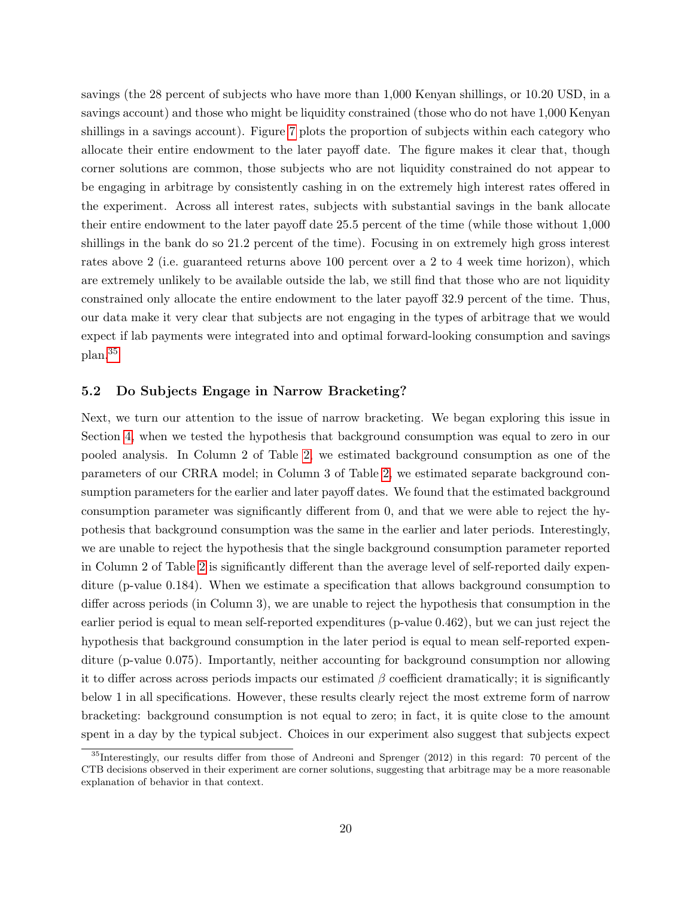savings (the 28 percent of subjects who have more than 1,000 Kenyan shillings, or 10.20 USD, in a savings account) and those who might be liquidity constrained (those who do not have 1,000 Kenyan shillings in a savings account). Figure [7](#page-38-0) plots the proportion of subjects within each category who allocate their entire endowment to the later payoff date. The figure makes it clear that, though corner solutions are common, those subjects who are not liquidity constrained do not appear to be engaging in arbitrage by consistently cashing in on the extremely high interest rates offered in the experiment. Across all interest rates, subjects with substantial savings in the bank allocate their entire endowment to the later payoff date 25.5 percent of the time (while those without 1,000 shillings in the bank do so 21.2 percent of the time). Focusing in on extremely high gross interest rates above 2 (i.e. guaranteed returns above 100 percent over a 2 to 4 week time horizon), which are extremely unlikely to be available outside the lab, we still find that those who are not liquidity constrained only allocate the entire endowment to the later payoff 32.9 percent of the time. Thus, our data make it very clear that subjects are not engaging in the types of arbitrage that we would expect if lab payments were integrated into and optimal forward-looking consumption and savings plan.[35](#page-21-0)

#### 5.2 Do Subjects Engage in Narrow Bracketing?

Next, we turn our attention to the issue of narrow bracketing. We began exploring this issue in Section [4,](#page-12-0) when we tested the hypothesis that background consumption was equal to zero in our pooled analysis. In Column 2 of Table [2,](#page-29-1) we estimated background consumption as one of the parameters of our CRRA model; in Column 3 of Table [2,](#page-29-1) we estimated separate background consumption parameters for the earlier and later payoff dates. We found that the estimated background consumption parameter was significantly different from 0, and that we were able to reject the hypothesis that background consumption was the same in the earlier and later periods. Interestingly, we are unable to reject the hypothesis that the single background consumption parameter reported in Column 2 of Table [2](#page-29-1) is significantly different than the average level of self-reported daily expenditure (p-value 0.184). When we estimate a specification that allows background consumption to differ across periods (in Column 3), we are unable to reject the hypothesis that consumption in the earlier period is equal to mean self-reported expenditures (p-value 0.462), but we can just reject the hypothesis that background consumption in the later period is equal to mean self-reported expenditure (p-value 0.075). Importantly, neither accounting for background consumption nor allowing it to differ across across periods impacts our estimated  $\beta$  coefficient dramatically; it is significantly below 1 in all specifications. However, these results clearly reject the most extreme form of narrow bracketing: background consumption is not equal to zero; in fact, it is quite close to the amount spent in a day by the typical subject. Choices in our experiment also suggest that subjects expect

<span id="page-21-0"></span><sup>35</sup>Interestingly, our results differ from those of Andreoni and Sprenger (2012) in this regard: 70 percent of the CTB decisions observed in their experiment are corner solutions, suggesting that arbitrage may be a more reasonable explanation of behavior in that context.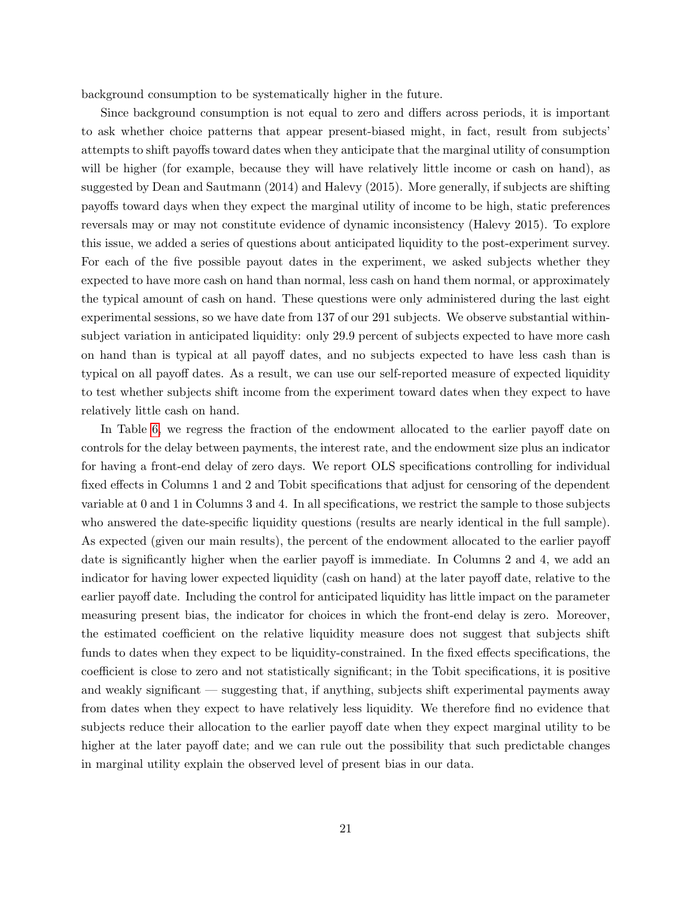background consumption to be systematically higher in the future.

Since background consumption is not equal to zero and differs across periods, it is important to ask whether choice patterns that appear present-biased might, in fact, result from subjects' attempts to shift payoffs toward dates when they anticipate that the marginal utility of consumption will be higher (for example, because they will have relatively little income or cash on hand), as suggested by Dean and Sautmann (2014) and Halevy (2015). More generally, if subjects are shifting payoffs toward days when they expect the marginal utility of income to be high, static preferences reversals may or may not constitute evidence of dynamic inconsistency (Halevy 2015). To explore this issue, we added a series of questions about anticipated liquidity to the post-experiment survey. For each of the five possible payout dates in the experiment, we asked subjects whether they expected to have more cash on hand than normal, less cash on hand them normal, or approximately the typical amount of cash on hand. These questions were only administered during the last eight experimental sessions, so we have date from 137 of our 291 subjects. We observe substantial withinsubject variation in anticipated liquidity: only 29.9 percent of subjects expected to have more cash on hand than is typical at all payoff dates, and no subjects expected to have less cash than is typical on all payoff dates. As a result, we can use our self-reported measure of expected liquidity to test whether subjects shift income from the experiment toward dates when they expect to have relatively little cash on hand.

In Table [6,](#page-31-1) we regress the fraction of the endowment allocated to the earlier payoff date on controls for the delay between payments, the interest rate, and the endowment size plus an indicator for having a front-end delay of zero days. We report OLS specifications controlling for individual fixed effects in Columns 1 and 2 and Tobit specifications that adjust for censoring of the dependent variable at 0 and 1 in Columns 3 and 4. In all specifications, we restrict the sample to those subjects who answered the date-specific liquidity questions (results are nearly identical in the full sample). As expected (given our main results), the percent of the endowment allocated to the earlier payoff date is significantly higher when the earlier payoff is immediate. In Columns 2 and 4, we add an indicator for having lower expected liquidity (cash on hand) at the later payoff date, relative to the earlier payoff date. Including the control for anticipated liquidity has little impact on the parameter measuring present bias, the indicator for choices in which the front-end delay is zero. Moreover, the estimated coefficient on the relative liquidity measure does not suggest that subjects shift funds to dates when they expect to be liquidity-constrained. In the fixed effects specifications, the coefficient is close to zero and not statistically significant; in the Tobit specifications, it is positive and weakly significant — suggesting that, if anything, subjects shift experimental payments away from dates when they expect to have relatively less liquidity. We therefore find no evidence that subjects reduce their allocation to the earlier payoff date when they expect marginal utility to be higher at the later payoff date; and we can rule out the possibility that such predictable changes in marginal utility explain the observed level of present bias in our data.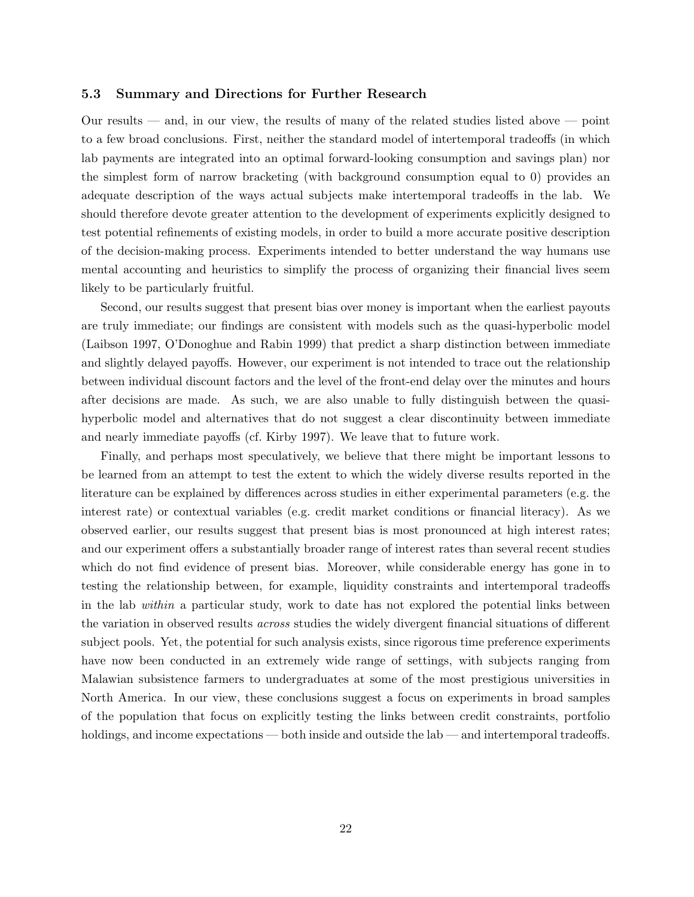#### 5.3 Summary and Directions for Further Research

Our results — and, in our view, the results of many of the related studies listed above — point to a few broad conclusions. First, neither the standard model of intertemporal tradeoffs (in which lab payments are integrated into an optimal forward-looking consumption and savings plan) nor the simplest form of narrow bracketing (with background consumption equal to 0) provides an adequate description of the ways actual subjects make intertemporal tradeoffs in the lab. We should therefore devote greater attention to the development of experiments explicitly designed to test potential refinements of existing models, in order to build a more accurate positive description of the decision-making process. Experiments intended to better understand the way humans use mental accounting and heuristics to simplify the process of organizing their financial lives seem likely to be particularly fruitful.

Second, our results suggest that present bias over money is important when the earliest payouts are truly immediate; our findings are consistent with models such as the quasi-hyperbolic model (Laibson 1997, O'Donoghue and Rabin 1999) that predict a sharp distinction between immediate and slightly delayed payoffs. However, our experiment is not intended to trace out the relationship between individual discount factors and the level of the front-end delay over the minutes and hours after decisions are made. As such, we are also unable to fully distinguish between the quasihyperbolic model and alternatives that do not suggest a clear discontinuity between immediate and nearly immediate payoffs (cf. Kirby 1997). We leave that to future work.

Finally, and perhaps most speculatively, we believe that there might be important lessons to be learned from an attempt to test the extent to which the widely diverse results reported in the literature can be explained by differences across studies in either experimental parameters (e.g. the interest rate) or contextual variables (e.g. credit market conditions or financial literacy). As we observed earlier, our results suggest that present bias is most pronounced at high interest rates; and our experiment offers a substantially broader range of interest rates than several recent studies which do not find evidence of present bias. Moreover, while considerable energy has gone in to testing the relationship between, for example, liquidity constraints and intertemporal tradeoffs in the lab within a particular study, work to date has not explored the potential links between the variation in observed results across studies the widely divergent financial situations of different subject pools. Yet, the potential for such analysis exists, since rigorous time preference experiments have now been conducted in an extremely wide range of settings, with subjects ranging from Malawian subsistence farmers to undergraduates at some of the most prestigious universities in North America. In our view, these conclusions suggest a focus on experiments in broad samples of the population that focus on explicitly testing the links between credit constraints, portfolio holdings, and income expectations — both inside and outside the lab — and intertemporal tradeoffs.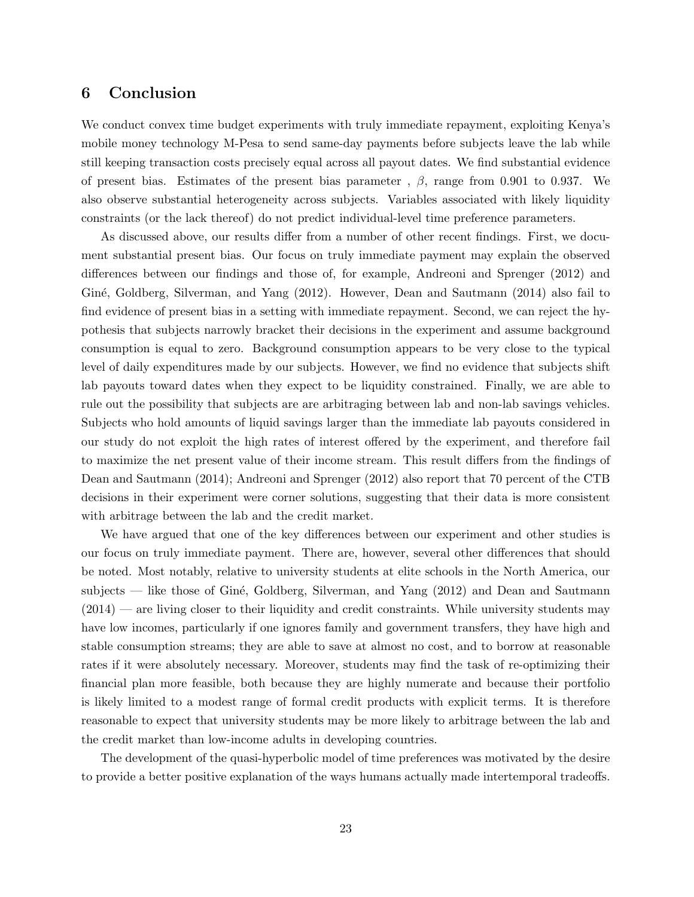### <span id="page-24-0"></span>6 Conclusion

We conduct convex time budget experiments with truly immediate repayment, exploiting Kenya's mobile money technology M-Pesa to send same-day payments before subjects leave the lab while still keeping transaction costs precisely equal across all payout dates. We find substantial evidence of present bias. Estimates of the present bias parameter,  $\beta$ , range from 0.901 to 0.937. We also observe substantial heterogeneity across subjects. Variables associated with likely liquidity constraints (or the lack thereof) do not predict individual-level time preference parameters.

As discussed above, our results differ from a number of other recent findings. First, we document substantial present bias. Our focus on truly immediate payment may explain the observed differences between our findings and those of, for example, Andreoni and Sprenger (2012) and Giné, Goldberg, Silverman, and Yang (2012). However, Dean and Sautmann (2014) also fail to find evidence of present bias in a setting with immediate repayment. Second, we can reject the hypothesis that subjects narrowly bracket their decisions in the experiment and assume background consumption is equal to zero. Background consumption appears to be very close to the typical level of daily expenditures made by our subjects. However, we find no evidence that subjects shift lab payouts toward dates when they expect to be liquidity constrained. Finally, we are able to rule out the possibility that subjects are are arbitraging between lab and non-lab savings vehicles. Subjects who hold amounts of liquid savings larger than the immediate lab payouts considered in our study do not exploit the high rates of interest offered by the experiment, and therefore fail to maximize the net present value of their income stream. This result differs from the findings of Dean and Sautmann (2014); Andreoni and Sprenger (2012) also report that 70 percent of the CTB decisions in their experiment were corner solutions, suggesting that their data is more consistent with arbitrage between the lab and the credit market.

We have argued that one of the key differences between our experiment and other studies is our focus on truly immediate payment. There are, however, several other differences that should be noted. Most notably, relative to university students at elite schools in the North America, our subjects — like those of Giné, Goldberg, Silverman, and Yang  $(2012)$  and Dean and Sautmann  $(2014)$  — are living closer to their liquidity and credit constraints. While university students may have low incomes, particularly if one ignores family and government transfers, they have high and stable consumption streams; they are able to save at almost no cost, and to borrow at reasonable rates if it were absolutely necessary. Moreover, students may find the task of re-optimizing their financial plan more feasible, both because they are highly numerate and because their portfolio is likely limited to a modest range of formal credit products with explicit terms. It is therefore reasonable to expect that university students may be more likely to arbitrage between the lab and the credit market than low-income adults in developing countries.

The development of the quasi-hyperbolic model of time preferences was motivated by the desire to provide a better positive explanation of the ways humans actually made intertemporal tradeoffs.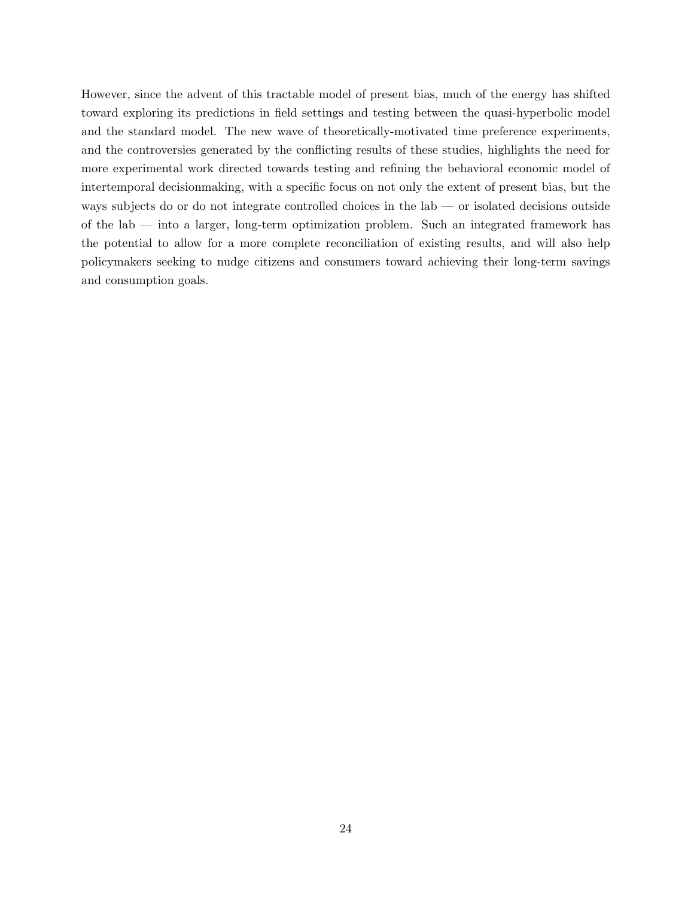However, since the advent of this tractable model of present bias, much of the energy has shifted toward exploring its predictions in field settings and testing between the quasi-hyperbolic model and the standard model. The new wave of theoretically-motivated time preference experiments, and the controversies generated by the conflicting results of these studies, highlights the need for more experimental work directed towards testing and refining the behavioral economic model of intertemporal decisionmaking, with a specific focus on not only the extent of present bias, but the ways subjects do or do not integrate controlled choices in the lab — or isolated decisions outside of the lab — into a larger, long-term optimization problem. Such an integrated framework has the potential to allow for a more complete reconciliation of existing results, and will also help policymakers seeking to nudge citizens and consumers toward achieving their long-term savings and consumption goals.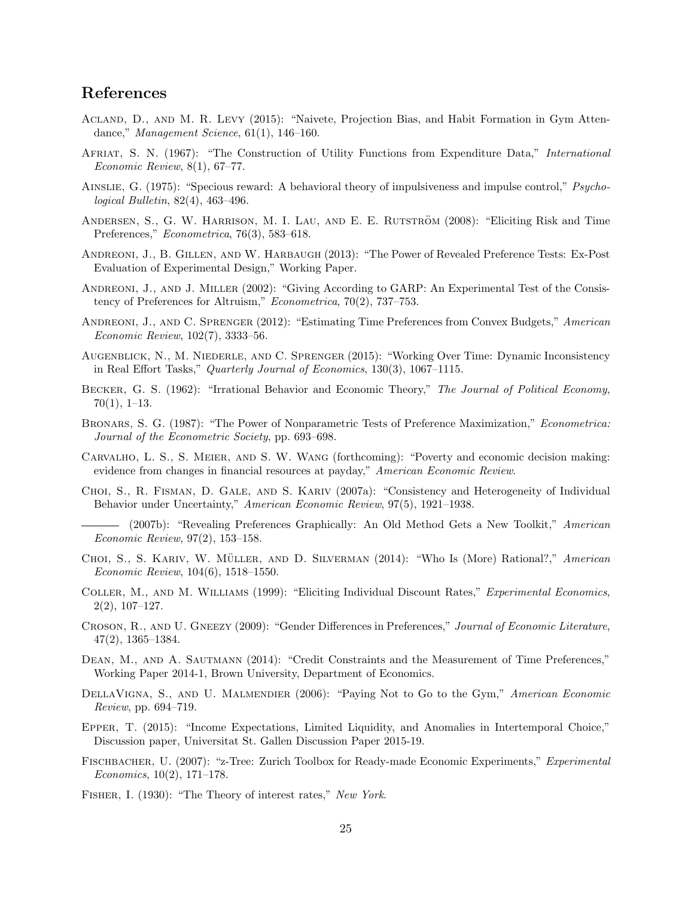# References

- Acland, D., and M. R. Levy (2015): "Naivete, Projection Bias, and Habit Formation in Gym Attendance," Management Science, 61(1), 146–160.
- AFRIAT, S. N. (1967): "The Construction of Utility Functions from Expenditure Data," International Economic Review, 8(1), 67–77.
- Ainslie, G. (1975): "Specious reward: A behavioral theory of impulsiveness and impulse control," Psychological Bulletin, 82(4), 463–496.
- ANDERSEN, S., G. W. HARRISON, M. I. LAU, AND E. E. RUTSTRÖM (2008): "Eliciting Risk and Time Preferences," *Econometrica*, 76(3), 583–618.
- Andreoni, J., B. Gillen, and W. Harbaugh (2013): "The Power of Revealed Preference Tests: Ex-Post Evaluation of Experimental Design," Working Paper.
- ANDREONI, J., AND J. MILLER (2002): "Giving According to GARP: An Experimental Test of the Consistency of Preferences for Altruism," Econometrica, 70(2), 737–753.
- ANDREONI, J., AND C. SPRENGER (2012): "Estimating Time Preferences from Convex Budgets," American Economic Review, 102(7), 3333–56.
- Augenblick, N., M. Niederle, and C. Sprenger (2015): "Working Over Time: Dynamic Inconsistency in Real Effort Tasks," Quarterly Journal of Economics, 130(3), 1067–1115.
- BECKER, G. S. (1962): "Irrational Behavior and Economic Theory," The Journal of Political Economy,  $70(1), 1-13.$
- Bronars, S. G. (1987): "The Power of Nonparametric Tests of Preference Maximization," Econometrica: Journal of the Econometric Society, pp. 693–698.
- Carvalho, L. S., S. Meier, and S. W. Wang (forthcoming): "Poverty and economic decision making: evidence from changes in financial resources at payday," American Economic Review.
- Choi, S., R. Fisman, D. Gale, and S. Kariv (2007a): "Consistency and Heterogeneity of Individual Behavior under Uncertainty," American Economic Review, 97(5), 1921–1938.
- (2007b): "Revealing Preferences Graphically: An Old Method Gets a New Toolkit," American Economic Review, 97(2), 153–158.
- CHOI, S., S. KARIV, W. MÜLLER, AND D. SILVERMAN (2014): "Who Is (More) Rational?," American Economic Review, 104(6), 1518–1550.
- Coller, M., and M. Williams (1999): "Eliciting Individual Discount Rates," Experimental Economics, 2(2), 107–127.
- Croson, R., and U. Gneezy (2009): "Gender Differences in Preferences," Journal of Economic Literature, 47(2), 1365–1384.
- DEAN, M., AND A. SAUTMANN (2014): "Credit Constraints and the Measurement of Time Preferences," Working Paper 2014-1, Brown University, Department of Economics.
- DELLAVIGNA, S., AND U. MALMENDIER (2006): "Paying Not to Go to the Gym," American Economic Review, pp. 694–719.
- Epper, T. (2015): "Income Expectations, Limited Liquidity, and Anomalies in Intertemporal Choice," Discussion paper, Universitat St. Gallen Discussion Paper 2015-19.
- Fischbacher, U. (2007): "z-Tree: Zurich Toolbox for Ready-made Economic Experiments," Experimental Economics, 10(2), 171–178.
- FISHER, I. (1930): "The Theory of interest rates," New York.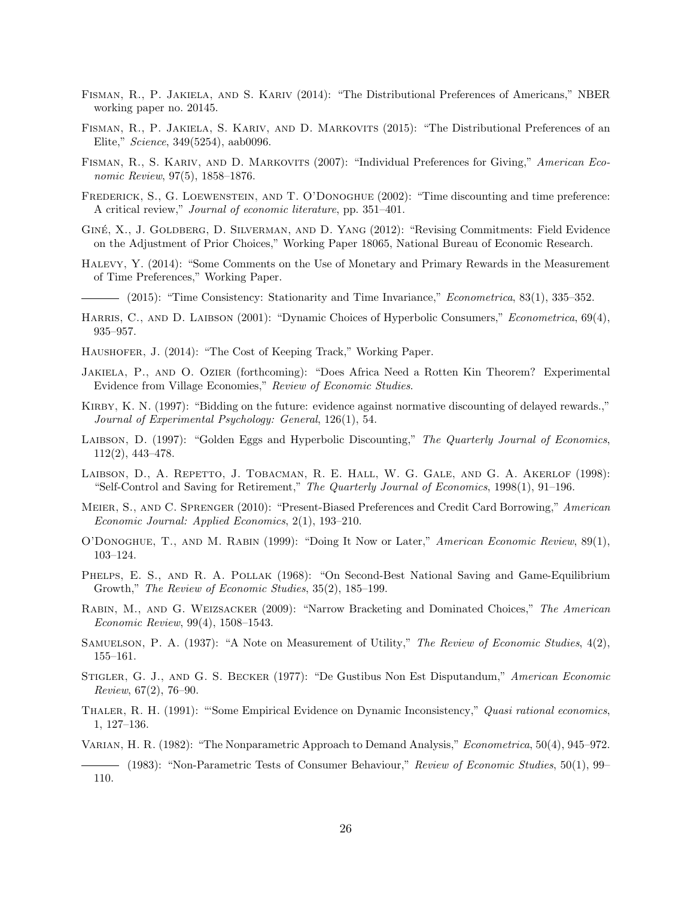- Fisman, R., P. Jakiela, and S. Kariv (2014): "The Distributional Preferences of Americans," NBER working paper no. 20145.
- Fisman, R., P. Jakiela, S. Kariv, and D. Markovits (2015): "The Distributional Preferences of an Elite," Science, 349(5254), aab0096.
- FISMAN, R., S. KARIV, AND D. MARKOVITS (2007): "Individual Preferences for Giving," American Economic Review, 97(5), 1858–1876.
- FREDERICK, S., G. LOEWENSTEIN, AND T. O'DONOGHUE (2002): "Time discounting and time preference: A critical review," Journal of economic literature, pp. 351–401.
- GINÉ, X., J. GOLDBERG, D. SILVERMAN, AND D. YANG (2012): "Revising Commitments: Field Evidence on the Adjustment of Prior Choices," Working Paper 18065, National Bureau of Economic Research.
- Halevy, Y. (2014): "Some Comments on the Use of Monetary and Primary Rewards in the Measurement of Time Preferences," Working Paper.
	- (2015): "Time Consistency: Stationarity and Time Invariance," Econometrica, 83(1), 335–352.
- HARRIS, C., AND D. LAIBSON (2001): "Dynamic Choices of Hyperbolic Consumers," Econometrica, 69(4), 935–957.
- Haushofer, J. (2014): "The Cost of Keeping Track," Working Paper.
- Jakiela, P., and O. Ozier (forthcoming): "Does Africa Need a Rotten Kin Theorem? Experimental Evidence from Village Economies," Review of Economic Studies.
- KIRBY, K. N. (1997): "Bidding on the future: evidence against normative discounting of delayed rewards.." Journal of Experimental Psychology: General, 126(1), 54.
- LAIBSON, D. (1997): "Golden Eggs and Hyperbolic Discounting," The Quarterly Journal of Economics, 112(2), 443–478.
- LAIBSON, D., A. REPETTO, J. TOBACMAN, R. E. HALL, W. G. GALE, AND G. A. AKERLOF (1998): "Self-Control and Saving for Retirement," The Quarterly Journal of Economics, 1998(1), 91–196.
- MEIER, S., AND C. SPRENGER (2010): "Present-Biased Preferences and Credit Card Borrowing," American Economic Journal: Applied Economics, 2(1), 193–210.
- O'Donoghue, T., and M. Rabin (1999): "Doing It Now or Later," American Economic Review, 89(1), 103–124.
- PHELPS, E. S., AND R. A. POLLAK (1968): "On Second-Best National Saving and Game-Equilibrium Growth," The Review of Economic Studies, 35(2), 185–199.
- Rabin, M., and G. Weizsacker (2009): "Narrow Bracketing and Dominated Choices," The American Economic Review, 99(4), 1508–1543.
- SAMUELSON, P. A. (1937): "A Note on Measurement of Utility," The Review of Economic Studies, 4(2), 155–161.
- Stigler, G. J., and G. S. Becker (1977): "De Gustibus Non Est Disputandum," American Economic Review, 67(2), 76–90.
- THALER, R. H. (1991): "Some Empirical Evidence on Dynamic Inconsistency," Quasi rational economics, 1, 127–136.
- Varian, H. R. (1982): "The Nonparametric Approach to Demand Analysis," Econometrica, 50(4), 945–972.
- (1983): "Non-Parametric Tests of Consumer Behaviour," Review of Economic Studies, 50(1), 99– 110.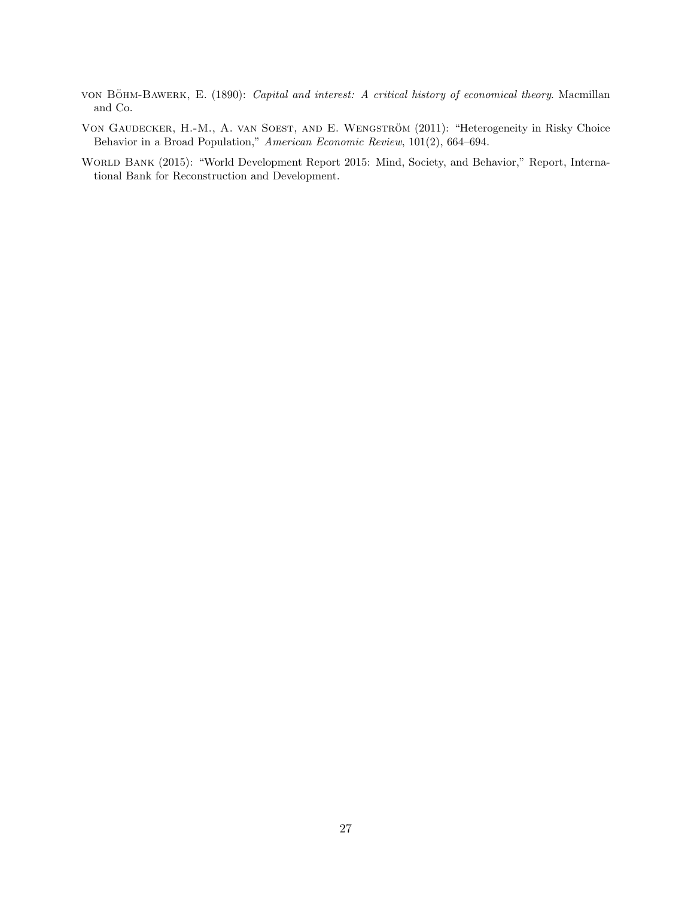- von BÖHM-BAWERK, E. (1890): Capital and interest: A critical history of economical theory. Macmillan and Co.
- VON GAUDECKER, H.-M., A. VAN SOEST, AND E. WENGSTRÖM (2011): "Heterogeneity in Risky Choice Behavior in a Broad Population," American Economic Review, 101(2), 664–694.
- World Bank (2015): "World Development Report 2015: Mind, Society, and Behavior," Report, International Bank for Reconstruction and Development.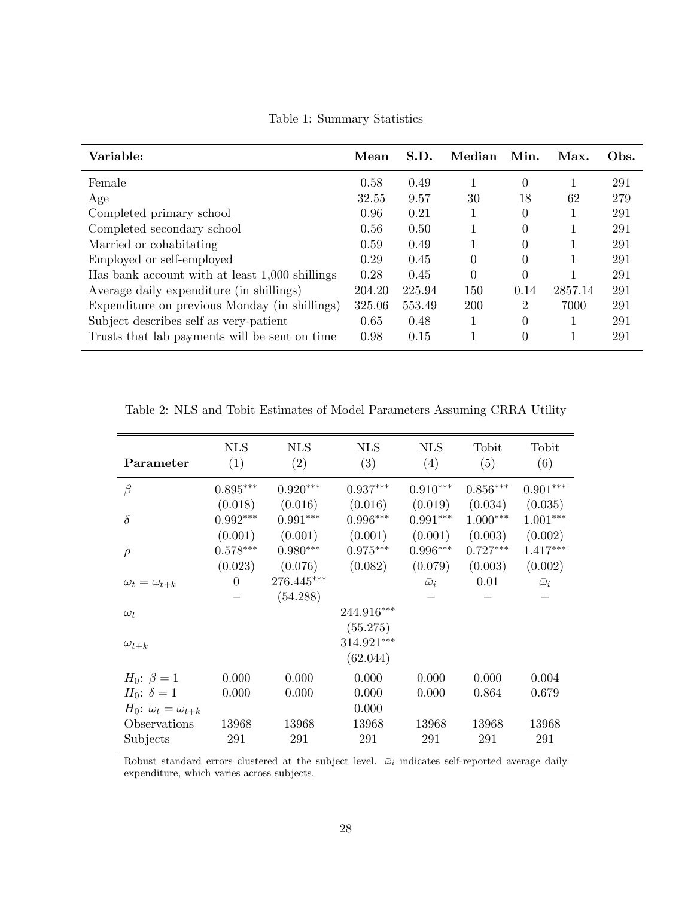| Mean   | S.D.   | Median   | Min.     | Max.    | Obs. |
|--------|--------|----------|----------|---------|------|
| 0.58   | 0.49   |          | $\Omega$ | 1       | 291  |
| 32.55  | 9.57   | 30       | 18       | 62      | 279  |
| 0.96   | 0.21   |          | $\theta$ | 1       | 291  |
| 0.56   | 0.50   |          | $\Omega$ |         | 291  |
| 0.59   | 0.49   |          | $\Omega$ |         | 291  |
| 0.29   | 0.45   | $\theta$ | $\Omega$ |         | 291  |
| 0.28   | 0.45   | $\theta$ | $\theta$ |         | 291  |
| 204.20 | 225.94 | 150      | 0.14     | 2857.14 | 291  |
| 325.06 | 553.49 | 200      | 2        | 7000    | 291  |
| 0.65   | 0.48   |          | $\theta$ |         | 291  |
| 0.98   | 0.15   |          | $\theta$ |         | 291  |
|        |        |          |          |         |      |

<span id="page-29-0"></span>Table 1: Summary Statistics

<span id="page-29-1"></span>Table 2: NLS and Tobit Estimates of Model Parameters Assuming CRRA Utility

| Parameter                                                     | <b>NLS</b><br>(1)     | <b>NLS</b><br>(2)      | <b>NLS</b><br>(3)                  | <b>NLS</b><br>(4)     | Tobit<br>(5)          | Tobit<br>(6)          |
|---------------------------------------------------------------|-----------------------|------------------------|------------------------------------|-----------------------|-----------------------|-----------------------|
| $\beta$                                                       | $0.895***$            | $0.920***$             | $0.937***$                         | $0.910***$            | $0.856***$            | $0.901***$            |
| $\delta$                                                      | (0.018)<br>$0.992***$ | (0.016)<br>$0.991***$  | (0.016)<br>$0.996***$              | (0.019)<br>$0.991***$ | (0.034)<br>$1.000***$ | (0.035)<br>$1.001***$ |
|                                                               | (0.001)<br>$0.578***$ | (0.001)<br>$0.980***$  | (0.001)<br>$0.975***$              | (0.001)<br>$0.996***$ | (0.003)<br>$0.727***$ | (0.002)<br>$1.417***$ |
| $\rho$                                                        | (0.023)               | (0.076)                | (0.082)                            | (0.079)               | (0.003)               | (0.002)               |
| $\omega_t = \omega_{t+k}$                                     | $\overline{0}$        | 276.445***<br>(54.288) |                                    | $\bar{\omega}_i$      | 0.01                  | $\bar{\omega}_i$      |
| $\omega_t$                                                    |                       |                        | 244.916***                         |                       |                       |                       |
| $\omega_{t+k}$                                                |                       |                        | (55.275)<br>314.921***<br>(62.044) |                       |                       |                       |
| $H_0: \beta = 1$                                              | 0.000                 | 0.000                  | 0.000                              | 0.000                 | 0.000                 | 0.004                 |
| $H_0$ : $\delta = 1$                                          | 0.000                 | 0.000                  | 0.000                              | 0.000                 | 0.864                 | 0.679                 |
| $H_0$ : $\omega_t = \omega_{t+k}$<br>Observations<br>Subjects | 13968<br>291          | 13968<br>291           | 0.000<br>13968<br>291              | 13968<br>291          | 13968<br>291          | 13968<br>291          |
|                                                               |                       |                        |                                    |                       |                       |                       |

Robust standard errors clustered at the subject level.  $\bar{\omega}_i$  indicates self-reported average daily expenditure, which varies across subjects.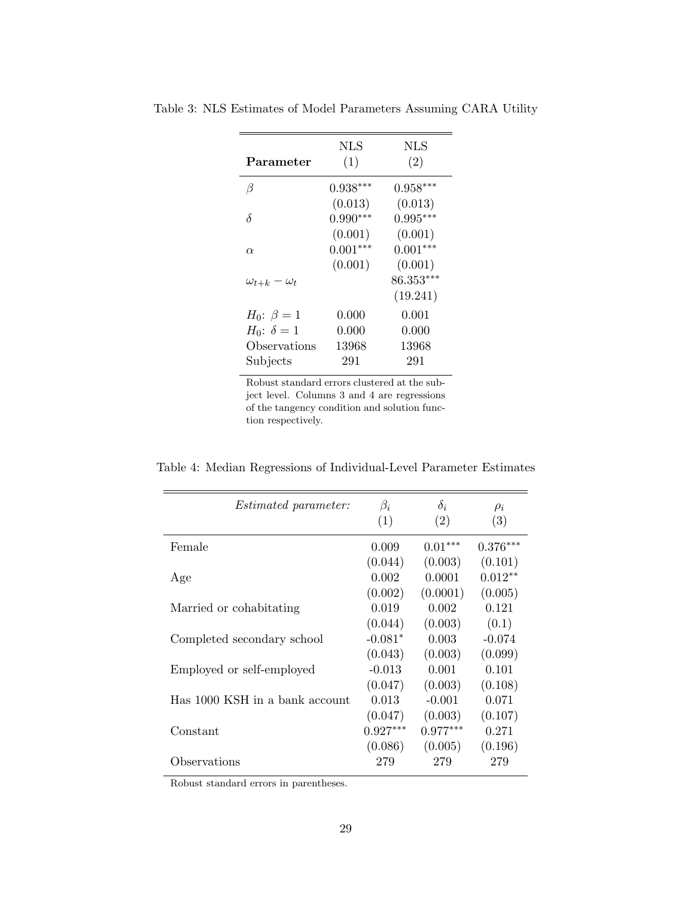<span id="page-30-0"></span>

|                         | NLS        | NLS        |
|-------------------------|------------|------------|
| Parameter               | (1)        | (2)        |
| β                       | $0.938***$ | $0.958***$ |
|                         | (0.013)    | (0.013)    |
| δ                       | $0.990***$ | $0.995***$ |
|                         | (0.001)    | (0.001)    |
| $\alpha$                | $0.001***$ | $0.001***$ |
|                         | (0.001)    | (0.001)    |
| $\omega_{t+k}-\omega_t$ |            | 86.353***  |
|                         |            | (19.241)   |
| $H_0$ : $\beta = 1$     | 0.000      | 0.001      |
| $H_0$ : $\delta = 1$    | 0.000      | 0.000      |
| Observations            | 13968      | 13968      |
| Subjects                | 291        | 291        |

Table 3: NLS Estimates of Model Parameters Assuming CARA Utility

Robust standard errors clustered at the subject level. Columns 3 and 4 are regressions of the tangency condition and solution function respectively.

Table 4: Median Regressions of Individual-Level Parameter Estimates

| <i>Estimated parameter:</i>    | $\beta_i$  | $\delta_i$ | $\rho_i$   |
|--------------------------------|------------|------------|------------|
|                                | (1)        | (2)        | (3)        |
| Female                         | 0.009      | $0.01***$  | $0.376***$ |
|                                | (0.044)    | (0.003)    | (0.101)    |
| Age                            | 0.002      | 0.0001     | $0.012**$  |
|                                | (0.002)    | (0.0001)   | (0.005)    |
| Married or cohabitating        | 0.019      | 0.002      | 0.121      |
|                                | (0.044)    | (0.003)    | (0.1)      |
| Completed secondary school     | $-0.081*$  | 0.003      | $-0.074$   |
|                                | (0.043)    | (0.003)    | (0.099)    |
| Employed or self-employed      | $-0.013$   | 0.001      | 0.101      |
|                                | (0.047)    | (0.003)    | (0.108)    |
| Has 1000 KSH in a bank account | 0.013      | $-0.001$   | 0.071      |
|                                | (0.047)    | (0.003)    | (0.107)    |
| Constant                       | $0.927***$ | $0.977***$ | 0.271      |
|                                | (0.086)    | (0.005)    | (0.196)    |
| Observations                   | 279        | 279        | 279        |

Robust standard errors in parentheses.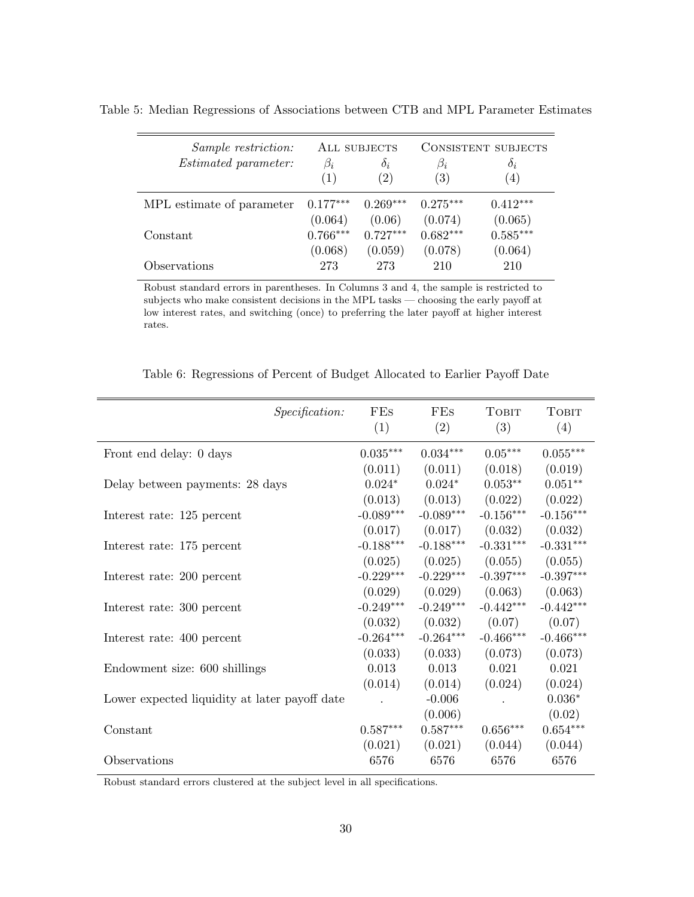<span id="page-31-0"></span>

| Sample restriction:         | ALL SUBJECTS |            | CONSISTENT SUBJECTS |                  |  |
|-----------------------------|--------------|------------|---------------------|------------------|--|
| <i>Estimated parameter:</i> | $\beta_i$    | $\delta_i$ | $\beta_i$           | $\delta_i$       |  |
|                             | (1)          | (2)        | (3)                 | $\left(4\right)$ |  |
| MPL estimate of parameter   | $0.177***$   | $0.269***$ | $0.275***$          | $0.412***$       |  |
|                             | (0.064)      | (0.06)     | (0.074)             | (0.065)          |  |
| Constant                    | $0.766***$   | $0.727***$ | $0.682***$          | $0.585***$       |  |
|                             | (0.068)      | (0.059)    | (0.078)             | (0.064)          |  |
| Observations                | 273          | 273        | 210                 | 210              |  |

Table 5: Median Regressions of Associations between CTB and MPL Parameter Estimates

Robust standard errors in parentheses. In Columns 3 and 4, the sample is restricted to subjects who make consistent decisions in the MPL tasks — choosing the early payoff at low interest rates, and switching (once) to preferring the later payoff at higher interest rates.

| Specification:                                | FEs         | FEs         | Товіт                  | <b>TOBIT</b>    |
|-----------------------------------------------|-------------|-------------|------------------------|-----------------|
|                                               | (1)         | (2)         | (3)                    | (4)             |
|                                               |             |             |                        |                 |
| Front end delay: 0 days                       | $0.035***$  | $0.034***$  | $0.05***$              | $0.055^{***}\,$ |
|                                               | (0.011)     | (0.011)     | (0.018)                | (0.019)         |
| Delay between payments: 28 days               | $0.024*$    | $0.024*$    | $0.053**$              | $0.051**$       |
|                                               | (0.013)     | (0.013)     | (0.022)                | (0.022)         |
| Interest rate: 125 percent                    | $-0.089***$ | $-0.089***$ | $-0.156***$            | $-0.156***$     |
|                                               | (0.017)     | (0.017)     | (0.032)                | (0.032)         |
| Interest rate: 175 percent                    | $-0.188***$ | $-0.188***$ | $-0.331***$            | $-0.331***$     |
|                                               | (0.025)     | (0.025)     | (0.055)                | (0.055)         |
| Interest rate: 200 percent                    | $-0.229***$ | $-0.229***$ | $-0.397***$            | $-0.397***$     |
|                                               | (0.029)     | (0.029)     | (0.063)                | (0.063)         |
| Interest rate: 300 percent                    | $-0.249***$ | $-0.249***$ | $-0.442***$            | $-0.442***$     |
|                                               | (0.032)     | (0.032)     | (0.07)                 | (0.07)          |
| Interest rate: 400 percent                    | $-0.264***$ | $-0.264***$ | $-0.466***$            | $-0.466***$     |
|                                               | (0.033)     | (0.033)     | (0.073)                | (0.073)         |
| Endowment size: 600 shillings                 | 0.013       | 0.013       | 0.021                  | 0.021           |
|                                               | (0.014)     | (0.014)     | (0.024)                | (0.024)         |
| Lower expected liquidity at later payoff date |             | $-0.006$    | $\cdot$                | $0.036*$        |
|                                               |             | (0.006)     |                        | (0.02)          |
| Constant                                      | $0.587***$  | $0.587***$  | $0.656^{\ast\ast\ast}$ | $0.654***$      |
|                                               | (0.021)     | (0.021)     | (0.044)                | (0.044)         |
| Observations                                  | 6576        | 6576        | 6576                   | 6576            |

<span id="page-31-1"></span>Table 6: Regressions of Percent of Budget Allocated to Earlier Payoff Date

Robust standard errors clustered at the subject level in all specifications.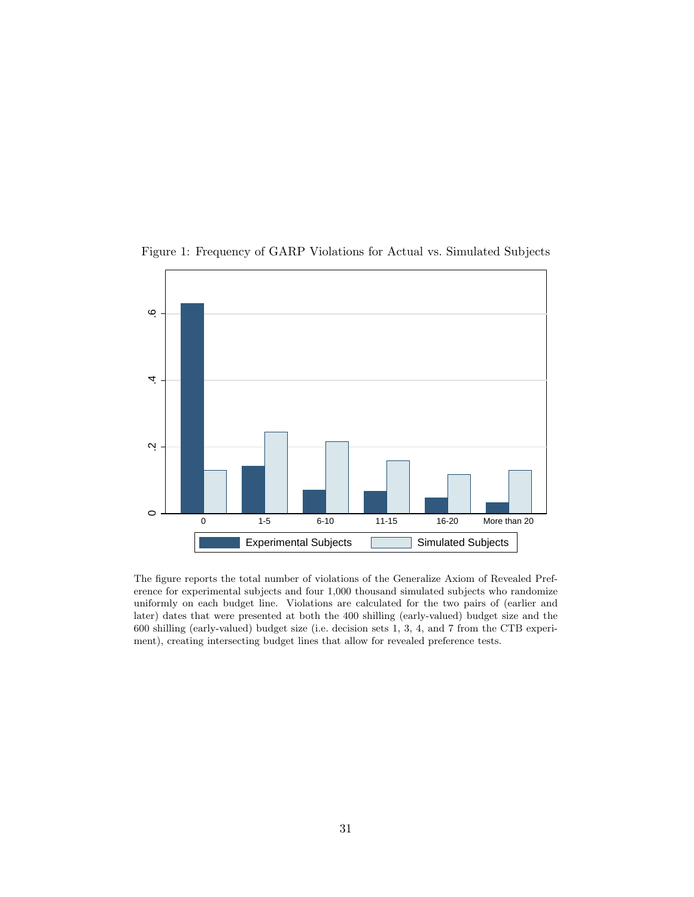

<span id="page-32-0"></span>Figure 1: Frequency of GARP Violations for Actual vs. Simulated Subjects

The figure reports the total number of violations of the Generalize Axiom of Revealed Preference for experimental subjects and four 1,000 thousand simulated subjects who randomize uniformly on each budget line. Violations are calculated for the two pairs of (earlier and later) dates that were presented at both the 400 shilling (early-valued) budget size and the 600 shilling (early-valued) budget size (i.e. decision sets 1, 3, 4, and 7 from the CTB experiment), creating intersecting budget lines that allow for revealed preference tests.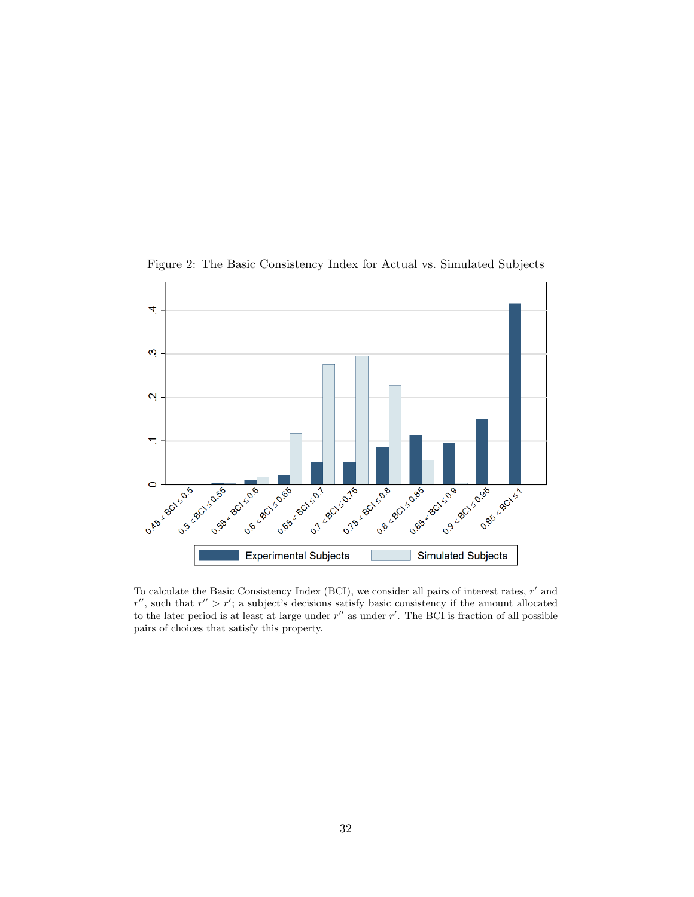

<span id="page-33-0"></span>Figure 2: The Basic Consistency Index for Actual vs. Simulated Subjects

To calculate the Basic Consistency Index (BCI), we consider all pairs of interest rates,  $r'$  and  $r''$ , such that  $r'' > r'$ ; a subject's decisions satisfy basic consistency if the amount allocated to the later period is at least at large under  $r''$  as under  $r'$ . The BCI is fraction of all possible pairs of choices that satisfy this property.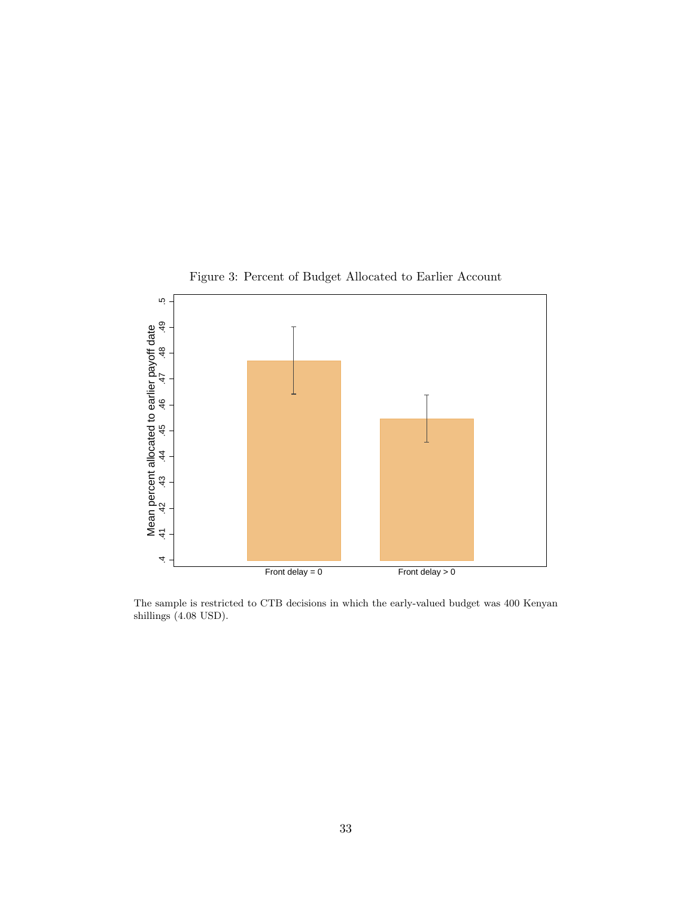

<span id="page-34-0"></span>Figure 3: Percent of Budget Allocated to Earlier Account

The sample is restricted to CTB decisions in which the early-valued budget was 400 Kenyan shillings (4.08 USD).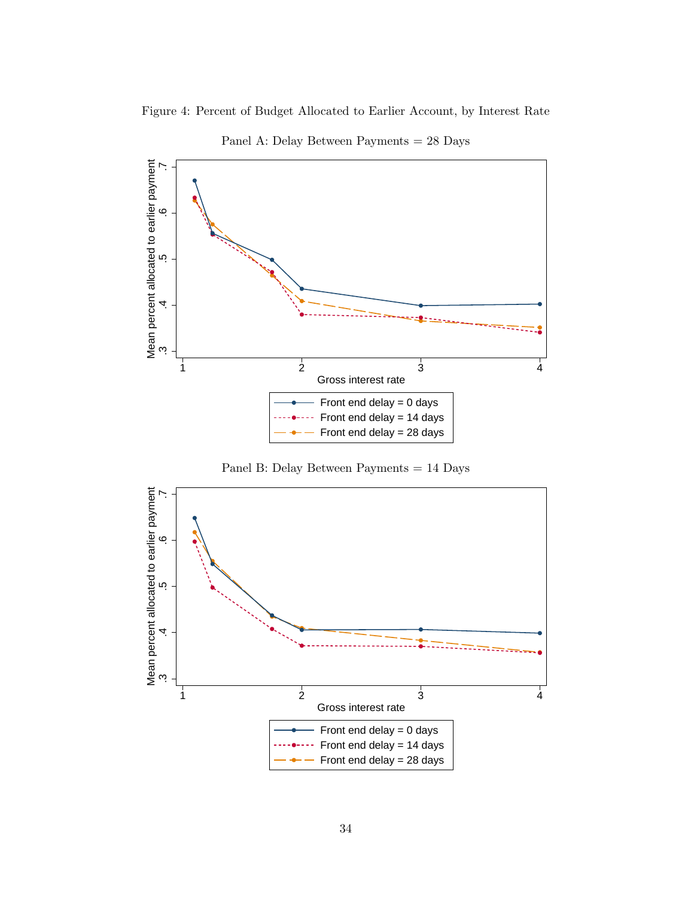

Figure 4: Percent of Budget Allocated to Earlier Account, by Interest Rate

<span id="page-35-0"></span>Panel A: Delay Between Payments = 28 Days



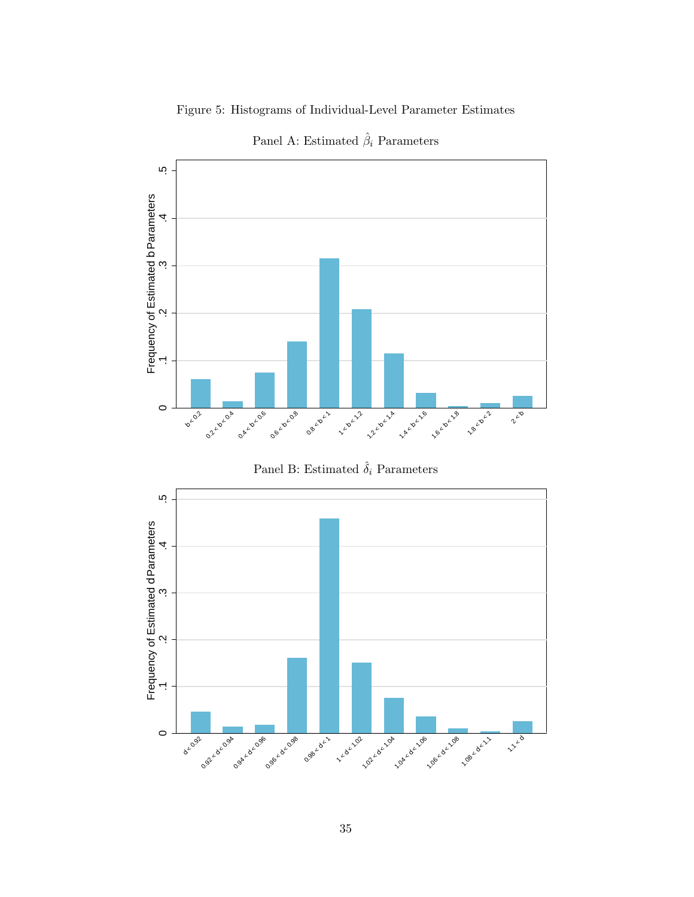

<span id="page-36-0"></span>Figure 5: Histograms of Individual-Level Parameter Estimates Panel A: Estimated  $\hat{\beta}_i$  Parameters





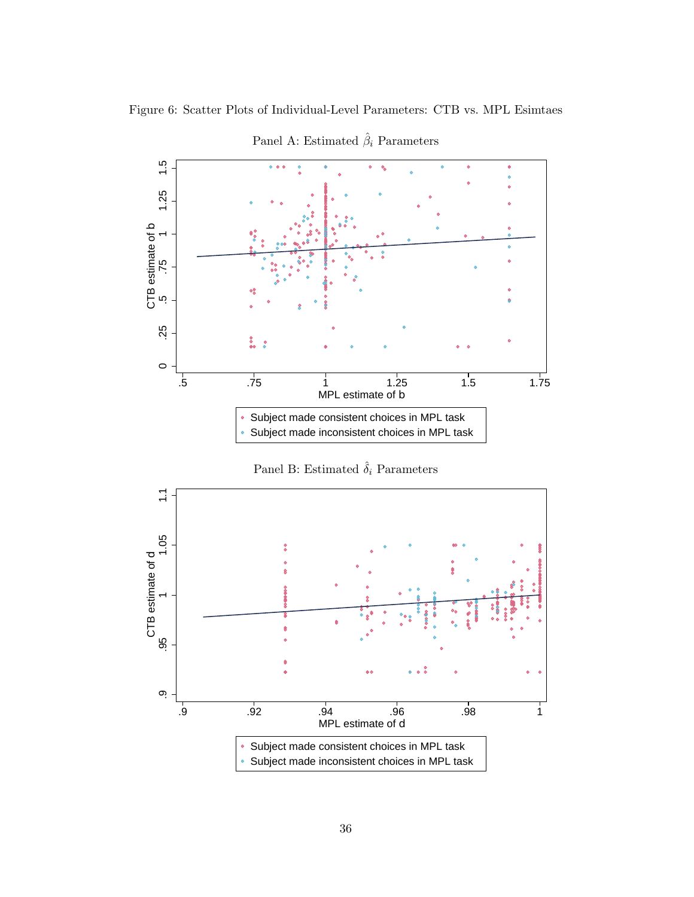

<span id="page-37-0"></span>Figure 6: Scatter Plots of Individual-Level Parameters: CTB vs. MPL Esimtaes

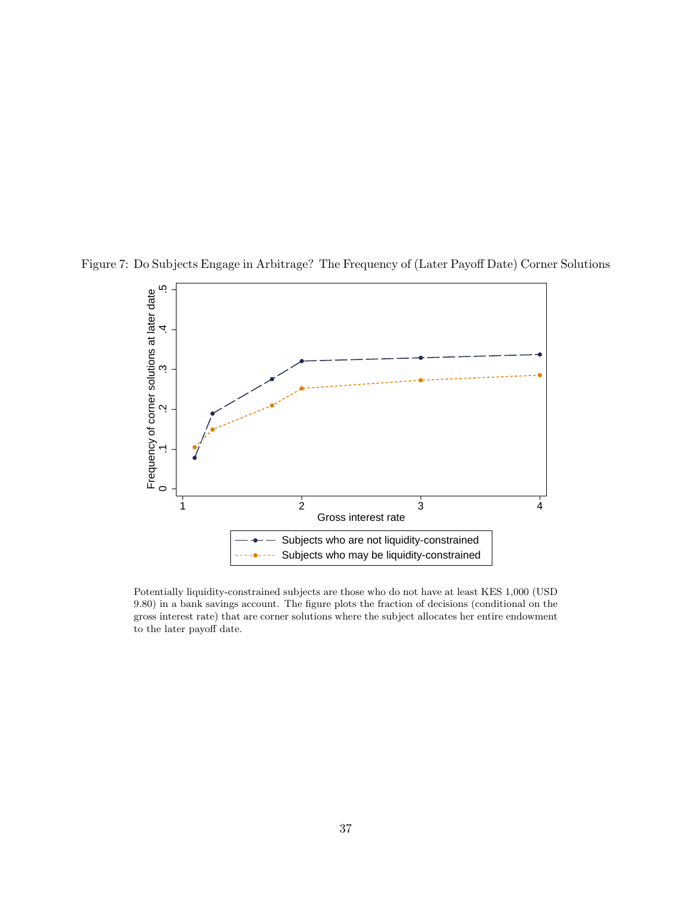<span id="page-38-0"></span>

Figure 7: Do Subjects Engage in Arbitrage? The Frequency of (Later Payoff Date) Corner Solutions

Potentially liquidity-constrained subjects are those who do not have at least KES 1,000 (USD 9.80) in a bank savings account. The figure plots the fraction of decisions (conditional on the gross interest rate) that are corner solutions where the subject allocates her entire endowment to the later payoff date.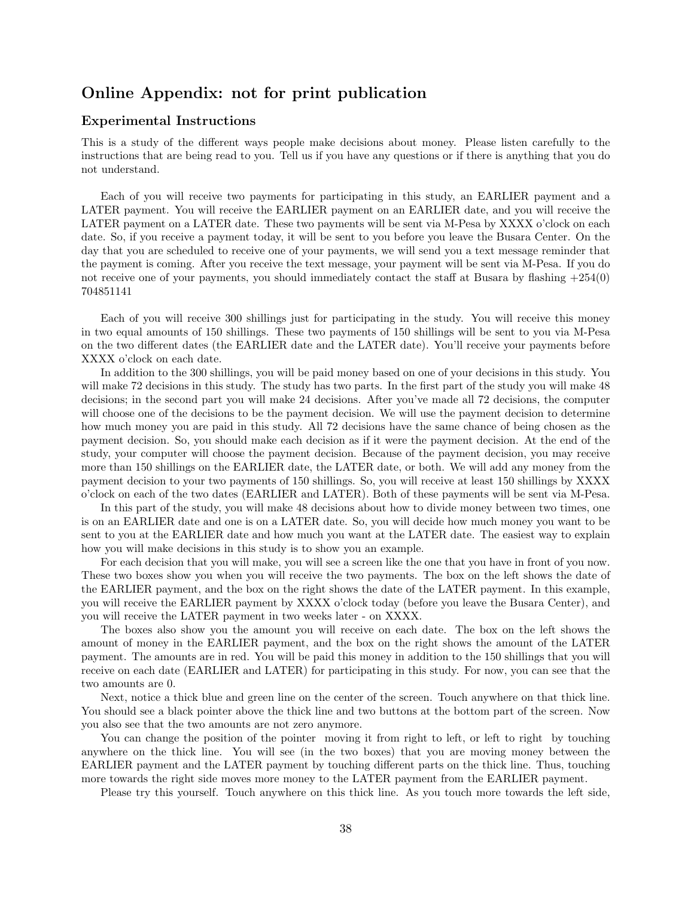# Online Appendix: not for print publication

#### Experimental Instructions

This is a study of the different ways people make decisions about money. Please listen carefully to the instructions that are being read to you. Tell us if you have any questions or if there is anything that you do not understand.

Each of you will receive two payments for participating in this study, an EARLIER payment and a LATER payment. You will receive the EARLIER payment on an EARLIER date, and you will receive the LATER payment on a LATER date. These two payments will be sent via M-Pesa by XXXX o'clock on each date. So, if you receive a payment today, it will be sent to you before you leave the Busara Center. On the day that you are scheduled to receive one of your payments, we will send you a text message reminder that the payment is coming. After you receive the text message, your payment will be sent via M-Pesa. If you do not receive one of your payments, you should immediately contact the staff at Busara by flashing +254(0) 704851141

Each of you will receive 300 shillings just for participating in the study. You will receive this money in two equal amounts of 150 shillings. These two payments of 150 shillings will be sent to you via M-Pesa on the two different dates (the EARLIER date and the LATER date). You'll receive your payments before XXXX o'clock on each date.

In addition to the 300 shillings, you will be paid money based on one of your decisions in this study. You will make 72 decisions in this study. The study has two parts. In the first part of the study you will make 48 decisions; in the second part you will make 24 decisions. After you've made all 72 decisions, the computer will choose one of the decisions to be the payment decision. We will use the payment decision to determine how much money you are paid in this study. All 72 decisions have the same chance of being chosen as the payment decision. So, you should make each decision as if it were the payment decision. At the end of the study, your computer will choose the payment decision. Because of the payment decision, you may receive more than 150 shillings on the EARLIER date, the LATER date, or both. We will add any money from the payment decision to your two payments of 150 shillings. So, you will receive at least 150 shillings by XXXX o'clock on each of the two dates (EARLIER and LATER). Both of these payments will be sent via M-Pesa.

In this part of the study, you will make 48 decisions about how to divide money between two times, one is on an EARLIER date and one is on a LATER date. So, you will decide how much money you want to be sent to you at the EARLIER date and how much you want at the LATER date. The easiest way to explain how you will make decisions in this study is to show you an example.

For each decision that you will make, you will see a screen like the one that you have in front of you now. These two boxes show you when you will receive the two payments. The box on the left shows the date of the EARLIER payment, and the box on the right shows the date of the LATER payment. In this example, you will receive the EARLIER payment by XXXX o'clock today (before you leave the Busara Center), and you will receive the LATER payment in two weeks later - on XXXX.

The boxes also show you the amount you will receive on each date. The box on the left shows the amount of money in the EARLIER payment, and the box on the right shows the amount of the LATER payment. The amounts are in red. You will be paid this money in addition to the 150 shillings that you will receive on each date (EARLIER and LATER) for participating in this study. For now, you can see that the two amounts are 0.

Next, notice a thick blue and green line on the center of the screen. Touch anywhere on that thick line. You should see a black pointer above the thick line and two buttons at the bottom part of the screen. Now you also see that the two amounts are not zero anymore.

You can change the position of the pointer moving it from right to left, or left to right by touching anywhere on the thick line. You will see (in the two boxes) that you are moving money between the EARLIER payment and the LATER payment by touching different parts on the thick line. Thus, touching more towards the right side moves more money to the LATER payment from the EARLIER payment.

Please try this yourself. Touch anywhere on this thick line. As you touch more towards the left side,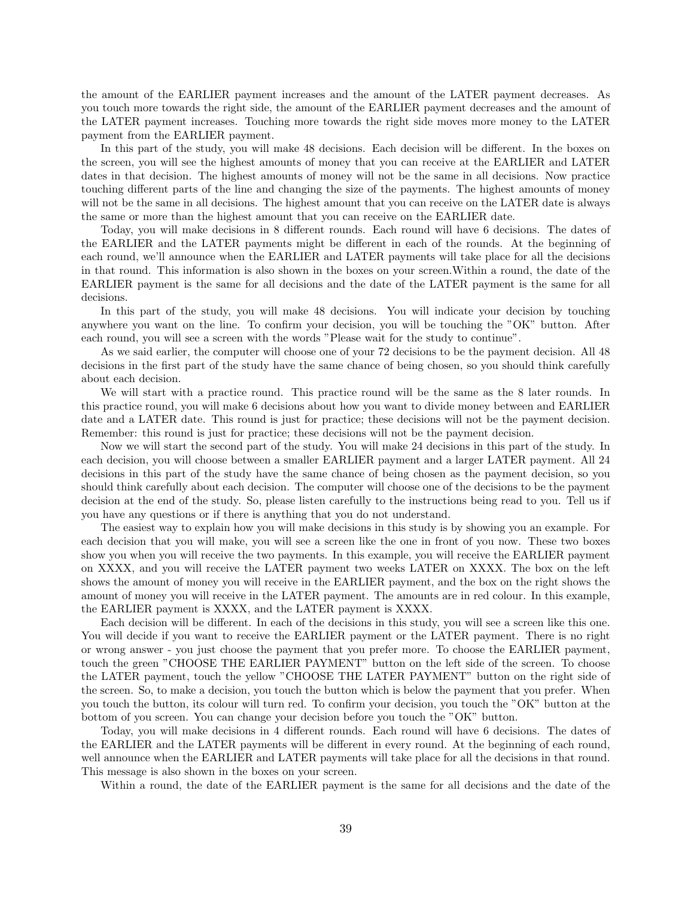the amount of the EARLIER payment increases and the amount of the LATER payment decreases. As you touch more towards the right side, the amount of the EARLIER payment decreases and the amount of the LATER payment increases. Touching more towards the right side moves more money to the LATER payment from the EARLIER payment.

In this part of the study, you will make 48 decisions. Each decision will be different. In the boxes on the screen, you will see the highest amounts of money that you can receive at the EARLIER and LATER dates in that decision. The highest amounts of money will not be the same in all decisions. Now practice touching different parts of the line and changing the size of the payments. The highest amounts of money will not be the same in all decisions. The highest amount that you can receive on the LATER date is always the same or more than the highest amount that you can receive on the EARLIER date.

Today, you will make decisions in 8 different rounds. Each round will have 6 decisions. The dates of the EARLIER and the LATER payments might be different in each of the rounds. At the beginning of each round, we'll announce when the EARLIER and LATER payments will take place for all the decisions in that round. This information is also shown in the boxes on your screen.Within a round, the date of the EARLIER payment is the same for all decisions and the date of the LATER payment is the same for all decisions.

In this part of the study, you will make 48 decisions. You will indicate your decision by touching anywhere you want on the line. To confirm your decision, you will be touching the "OK" button. After each round, you will see a screen with the words "Please wait for the study to continue".

As we said earlier, the computer will choose one of your 72 decisions to be the payment decision. All 48 decisions in the first part of the study have the same chance of being chosen, so you should think carefully about each decision.

We will start with a practice round. This practice round will be the same as the 8 later rounds. In this practice round, you will make 6 decisions about how you want to divide money between and EARLIER date and a LATER date. This round is just for practice; these decisions will not be the payment decision. Remember: this round is just for practice; these decisions will not be the payment decision.

Now we will start the second part of the study. You will make 24 decisions in this part of the study. In each decision, you will choose between a smaller EARLIER payment and a larger LATER payment. All 24 decisions in this part of the study have the same chance of being chosen as the payment decision, so you should think carefully about each decision. The computer will choose one of the decisions to be the payment decision at the end of the study. So, please listen carefully to the instructions being read to you. Tell us if you have any questions or if there is anything that you do not understand.

The easiest way to explain how you will make decisions in this study is by showing you an example. For each decision that you will make, you will see a screen like the one in front of you now. These two boxes show you when you will receive the two payments. In this example, you will receive the EARLIER payment on XXXX, and you will receive the LATER payment two weeks LATER on XXXX. The box on the left shows the amount of money you will receive in the EARLIER payment, and the box on the right shows the amount of money you will receive in the LATER payment. The amounts are in red colour. In this example, the EARLIER payment is XXXX, and the LATER payment is XXXX.

Each decision will be different. In each of the decisions in this study, you will see a screen like this one. You will decide if you want to receive the EARLIER payment or the LATER payment. There is no right or wrong answer - you just choose the payment that you prefer more. To choose the EARLIER payment, touch the green "CHOOSE THE EARLIER PAYMENT" button on the left side of the screen. To choose the LATER payment, touch the yellow "CHOOSE THE LATER PAYMENT" button on the right side of the screen. So, to make a decision, you touch the button which is below the payment that you prefer. When you touch the button, its colour will turn red. To confirm your decision, you touch the "OK" button at the bottom of you screen. You can change your decision before you touch the "OK" button.

Today, you will make decisions in 4 different rounds. Each round will have 6 decisions. The dates of the EARLIER and the LATER payments will be different in every round. At the beginning of each round, well announce when the EARLIER and LATER payments will take place for all the decisions in that round. This message is also shown in the boxes on your screen.

Within a round, the date of the EARLIER payment is the same for all decisions and the date of the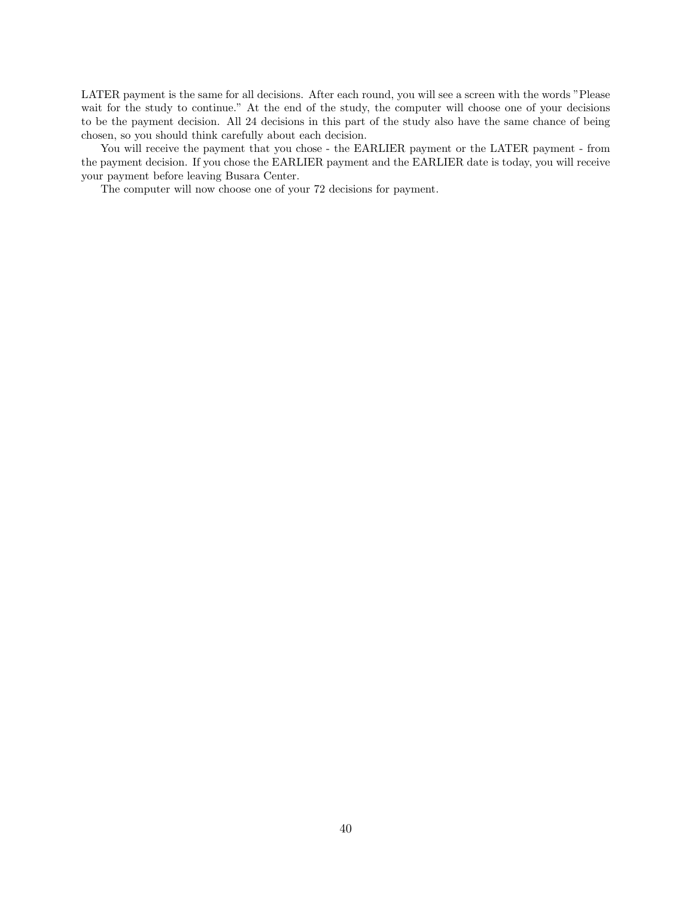LATER payment is the same for all decisions. After each round, you will see a screen with the words "Please wait for the study to continue." At the end of the study, the computer will choose one of your decisions to be the payment decision. All 24 decisions in this part of the study also have the same chance of being chosen, so you should think carefully about each decision.

You will receive the payment that you chose - the EARLIER payment or the LATER payment - from the payment decision. If you chose the EARLIER payment and the EARLIER date is today, you will receive your payment before leaving Busara Center.

The computer will now choose one of your 72 decisions for payment.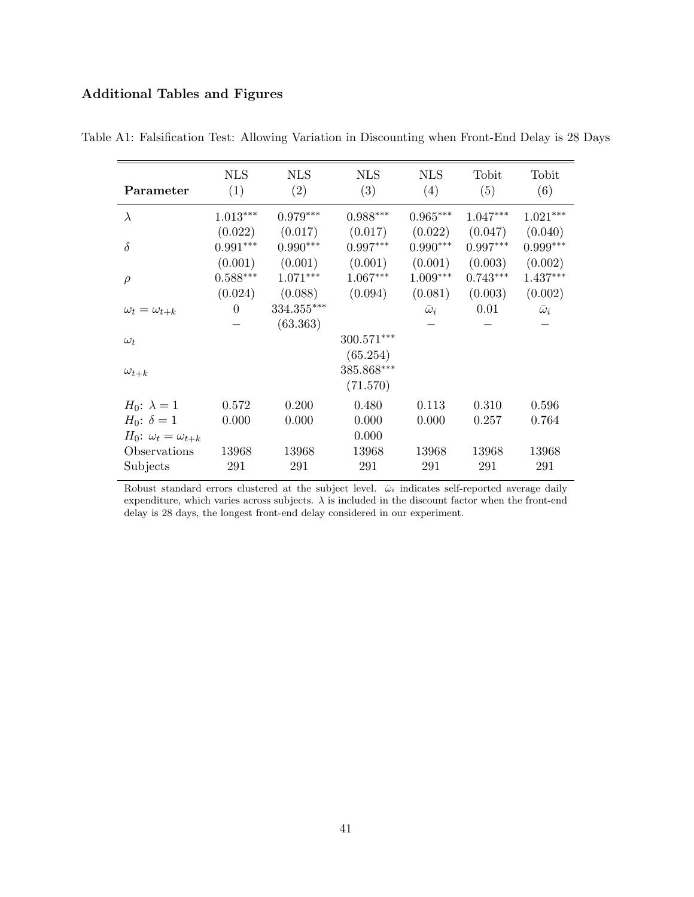# Additional Tables and Figures

| Parameter                         | <b>NLS</b><br>(1) | <b>NLS</b><br>(2) | <b>NLS</b><br>(3)      | <b>NLS</b><br>(4) | Tobit<br>(5) | Tobit<br>(6)     |
|-----------------------------------|-------------------|-------------------|------------------------|-------------------|--------------|------------------|
| $\lambda$                         | $1.013***$        | $0.979***$        | $0.988^{\ast\ast\ast}$ | $0.965***$        | $1.047***$   | $1.021***$       |
|                                   | (0.022)           | (0.017)           | (0.017)                | (0.022)           | (0.047)      | (0.040)          |
| $\delta$                          | $0.991***$        | $0.990***$        | $0.997***$             | $0.990***$        | $0.997***$   | $0.999***$       |
|                                   | (0.001)           | (0.001)           | (0.001)                | (0.001)           | (0.003)      | (0.002)          |
| $\rho$                            | $0.588***$        | $1.071***$        | $1.067***$             | $1.009***$        | $0.743***$   | $1.437***$       |
|                                   | (0.024)           | (0.088)           | (0.094)                | (0.081)           | (0.003)      | (0.002)          |
| $\omega_t = \omega_{t+k}$         | $\theta$          | 334.355***        |                        | $\bar{\omega}_i$  | 0.01         | $\bar{\omega}_i$ |
|                                   |                   | (63.363)          |                        |                   |              |                  |
| $\omega_t$                        |                   |                   | 300.571***             |                   |              |                  |
|                                   |                   |                   | (65.254)               |                   |              |                  |
| $\omega_{t+k}$                    |                   |                   | 385.868***             |                   |              |                  |
|                                   |                   |                   | (71.570)               |                   |              |                  |
| $H_0$ : $\lambda = 1$             | 0.572             | 0.200             | 0.480                  | 0.113             | 0.310        | 0.596            |
| $H_0$ : $\delta = 1$              | 0.000             | 0.000             | 0.000                  | 0.000             | 0.257        | 0.764            |
| $H_0$ : $\omega_t = \omega_{t+k}$ |                   |                   | 0.000                  |                   |              |                  |
| Observations                      | 13968             | 13968             | 13968                  | 13968             | 13968        | 13968            |
| Subjects                          | 291               | 291               | 291                    | 291               | 291          | 291              |

Table A1: Falsification Test: Allowing Variation in Discounting when Front-End Delay is 28 Days

Robust standard errors clustered at the subject level.  $\bar{\omega}_i$  indicates self-reported average daily expenditure, which varies across subjects.  $\lambda$  is included in the discount factor when the front-end delay is 28 days, the longest front-end delay considered in our experiment.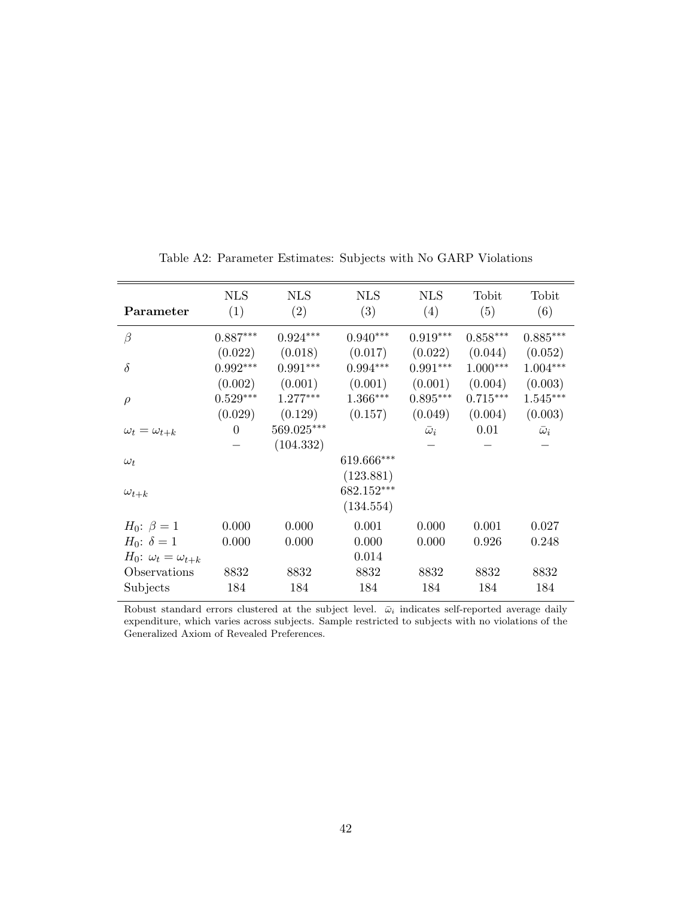| Parameter                            | <b>NLS</b><br>(1) | <b>NLS</b><br>(2) | <b>NLS</b><br>(3) | <b>NLS</b><br>(4) | Tobit<br>(5) | Tobit<br>(6)     |
|--------------------------------------|-------------------|-------------------|-------------------|-------------------|--------------|------------------|
| $\beta$                              | $0.887***$        | $0.924***$        | $0.940***$        | $0.919***$        | $0.858***$   | $0.885***$       |
|                                      | (0.022)           | (0.018)           | (0.017)           | (0.022)           | (0.044)      | (0.052)          |
| $\delta$                             | $0.992***$        | $0.991***$        | $0.994***$        | $0.991***$        | $1.000***$   | $1.004***$       |
|                                      | (0.002)           | (0.001)           | (0.001)           | (0.001)           | (0.004)      | (0.003)          |
| $\rho$                               | $0.529***$        | $1.277***$        | $1.366***$        | $0.895***$        | $0.715***$   | $1.545***$       |
|                                      | (0.029)           | (0.129)           | (0.157)           | (0.049)           | (0.004)      | (0.003)          |
| $\omega_t = \omega_{t+k}$            | $\overline{0}$    | 569.025***        |                   | $\bar{\omega}_i$  | 0.01         | $\bar{\omega}_i$ |
|                                      |                   | (104.332)         |                   |                   |              |                  |
| $\omega_t$                           |                   |                   | 619.666***        |                   |              |                  |
|                                      |                   |                   | (123.881)         |                   |              |                  |
| $\omega_{t+k}$                       |                   |                   | 682.152***        |                   |              |                  |
|                                      |                   |                   | (134.554)         |                   |              |                  |
| $H_0$ : $\beta = 1$                  | 0.000             | 0.000             | 0.001             | 0.000             | 0.001        | 0.027            |
| <i>H</i> <sub>0</sub> : $\delta = 1$ | 0.000             | 0.000             | 0.000             | 0.000             | 0.926        | 0.248            |
| $H_0$ : $\omega_t = \omega_{t+k}$    |                   |                   | 0.014             |                   |              |                  |
| Observations                         | 8832              | 8832              | 8832              | 8832              | 8832         | 8832             |
| Subjects                             | 184               | 184               | 184               | 184               | 184          | 184              |

Table A2: Parameter Estimates: Subjects with No GARP Violations

Robust standard errors clustered at the subject level.  $\bar{\omega}_i$  indicates self-reported average daily expenditure, which varies across subjects. Sample restricted to subjects with no violations of the Generalized Axiom of Revealed Preferences.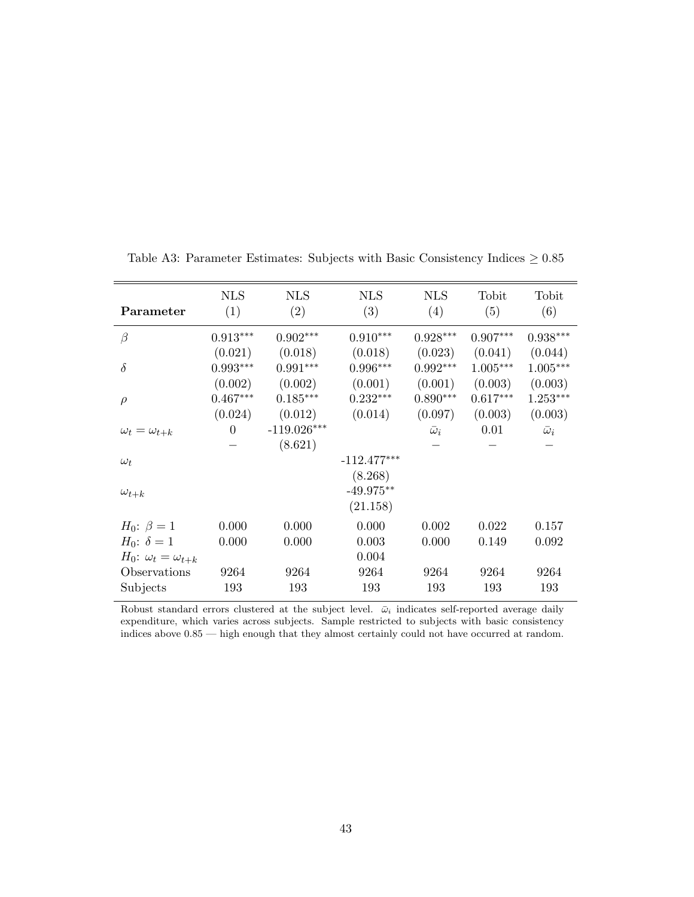|                                   | <b>NLS</b> | <b>NLS</b>    | <b>NLS</b>    | <b>NLS</b>       | Tobit      | Tobit            |
|-----------------------------------|------------|---------------|---------------|------------------|------------|------------------|
| Parameter                         | (1)        | (2)           | (3)           | (4)              | (5)        | (6)              |
| $\beta$                           | $0.913***$ | $0.902***$    | $0.910***$    | $0.928***$       | $0.907***$ | $0.938***$       |
|                                   | (0.021)    | (0.018)       | (0.018)       | (0.023)          | (0.041)    | (0.044)          |
| $\delta$                          | $0.993***$ | $0.991***$    | $0.996***$    | $0.992***$       | $1.005***$ | $1.005***$       |
|                                   | (0.002)    | (0.002)       | (0.001)       | (0.001)          | (0.003)    | (0.003)          |
| $\rho$                            | $0.467***$ | $0.185***$    | $0.232***$    | $0.890***$       | $0.617***$ | $1.253***$       |
|                                   | (0.024)    | (0.012)       | (0.014)       | (0.097)          | (0.003)    | (0.003)          |
| $\omega_t = \omega_{t+k}$         | $\theta$   | $-119.026***$ |               | $\bar{\omega}_i$ | 0.01       | $\bar{\omega}_i$ |
|                                   |            | (8.621)       |               |                  |            |                  |
| $\omega_t$                        |            |               | $-112.477***$ |                  |            |                  |
|                                   |            |               | (8.268)       |                  |            |                  |
| $\omega_{t+k}$                    |            |               | $-49.975**$   |                  |            |                  |
|                                   |            |               | (21.158)      |                  |            |                  |
| $H_0$ : $\beta = 1$               | 0.000      | 0.000         | 0.000         | 0.002            | 0.022      | 0.157            |
| $H_0$ : $\delta = 1$              | 0.000      | 0.000         | 0.003         | 0.000            | 0.149      | 0.092            |
| $H_0$ : $\omega_t = \omega_{t+k}$ |            |               | 0.004         |                  |            |                  |
| Observations                      | 9264       | 9264          | 9264          | 9264             | 9264       | 9264             |
| Subjects                          | 193        | 193           | 193           | 193              | 193        | 193              |

Table A3: Parameter Estimates: Subjects with Basic Consistency Indices  $\geq 0.85$ 

Robust standard errors clustered at the subject level.  $\bar{\omega}_i$  indicates self-reported average daily expenditure, which varies across subjects. Sample restricted to subjects with basic consistency indices above  $0.85$  — high enough that they almost certainly could not have occurred at random.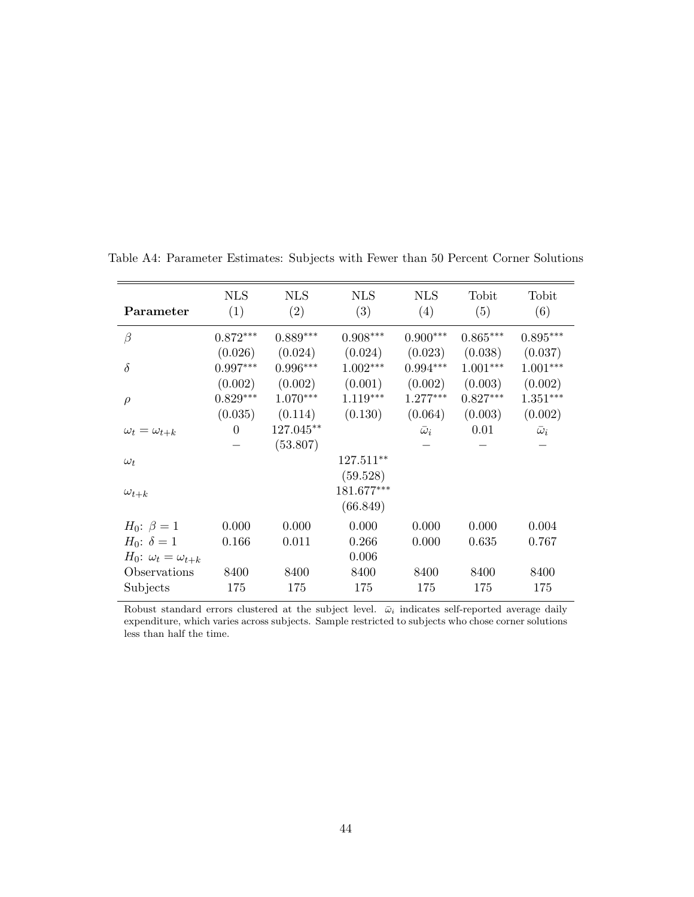| Parameter                            | <b>NLS</b><br>(1) | <b>NLS</b><br>(2) | <b>NLS</b><br>(3) | <b>NLS</b><br>(4) | Tobit<br>(5) | Tobit<br>(6)     |
|--------------------------------------|-------------------|-------------------|-------------------|-------------------|--------------|------------------|
| $\beta$                              | $0.872***$        | $0.889***$        | $0.908***$        | $0.900^{***}\,$   | $0.865***$   | $0.895***$       |
|                                      | (0.026)           | (0.024)           | (0.024)           | (0.023)           | (0.038)      | (0.037)          |
| $\delta$                             | $0.997***$        | $0.996***$        | $1.002***$        | $0.994***$        | $1.001***$   | $1.001***$       |
|                                      | (0.002)           | (0.002)           | (0.001)           | (0.002)           | (0.003)      | (0.002)          |
| $\rho$                               | $0.829***$        | $1.070***$        | $1.119***$        | $1.277***$        | $0.827***$   | $1.351***$       |
|                                      | (0.035)           | (0.114)           | (0.130)           | (0.064)           | (0.003)      | (0.002)          |
| $\omega_t = \omega_{t+k}$            | $\theta$          | 127.045**         |                   | $\bar{\omega}_i$  | 0.01         | $\bar{\omega}_i$ |
|                                      |                   | (53.807)          |                   |                   |              |                  |
| $\omega_t$                           |                   |                   | 127.511**         |                   |              |                  |
|                                      |                   |                   | (59.528)          |                   |              |                  |
| $\omega_{t+k}$                       |                   |                   | 181.677***        |                   |              |                  |
|                                      |                   |                   | (66.849)          |                   |              |                  |
| $H_0$ : $\beta = 1$                  | 0.000             | 0.000             | 0.000             | 0.000             | 0.000        | 0.004            |
| <i>H</i> <sub>0</sub> : $\delta = 1$ | 0.166             | 0.011             | 0.266             | 0.000             | 0.635        | 0.767            |
| $H_0$ : $\omega_t = \omega_{t+k}$    |                   |                   | 0.006             |                   |              |                  |
| Observations                         | 8400              | 8400              | 8400              | 8400              | 8400         | 8400             |
| Subjects                             | 175               | 175               | 175               | 175               | 175          | 175              |

Table A4: Parameter Estimates: Subjects with Fewer than 50 Percent Corner Solutions

Robust standard errors clustered at the subject level.  $\bar{\omega}_i$  indicates self-reported average daily expenditure, which varies across subjects. Sample restricted to subjects who chose corner solutions less than half the time.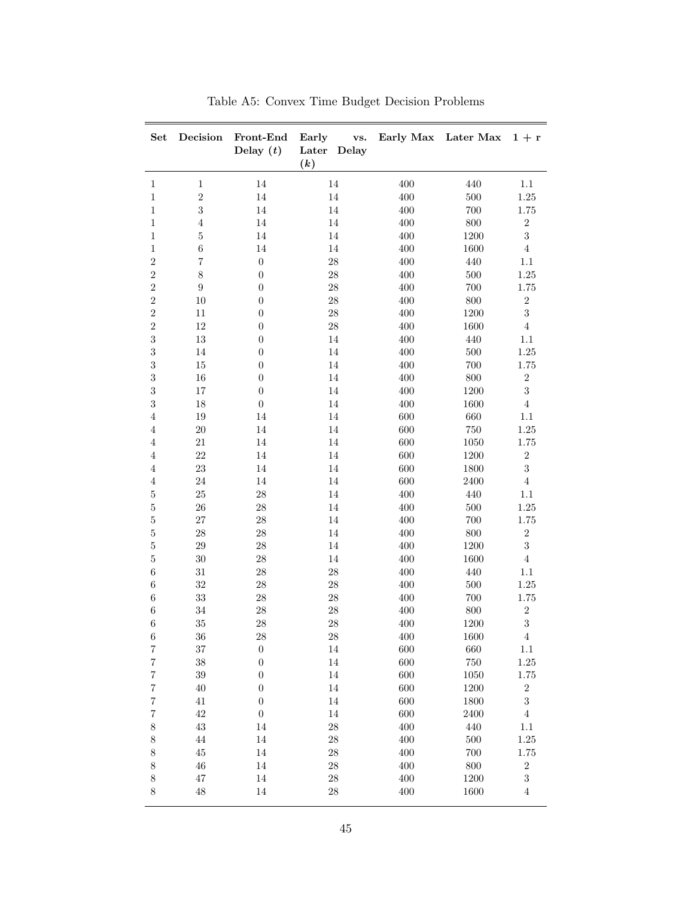| Set                  | Decision         | Front-End<br>Delay $(t)$             | Early<br>Later<br>$\left( k\right)$ | vs.<br>Delay |            | Early Max Later Max | $1 + r$                 |
|----------------------|------------------|--------------------------------------|-------------------------------------|--------------|------------|---------------------|-------------------------|
| $\mathbf{1}$         | $\mathbf 1$      | $14\,$                               | $14\,$                              |              | 400        | 440                 | $1.1\,$                 |
| $\mathbf{1}$         | $\overline{2}$   | $14\,$                               | $14\,$                              |              | 400        | $500\,$             | $1.25\,$                |
| $\,1$                | 3                | $14\,$                               | $14\,$                              |              | 400        | $700\,$             | $1.75\,$                |
| $\mathbf{1}$         | $\,4\,$          | 14                                   | $14\,$                              |              | 400        | 800                 | $\,2$                   |
| $\mathbf{1}$         | $\bf 5$          | $14\,$                               | 14                                  |              | 400        | 1200                | $\overline{3}$          |
| $\mathbf{1}$         | $\,6$            | $14\,$                               | $14\,$                              |              | 400        | 1600                | $\,4$                   |
| $\overline{2}$       | $\!\tau$         | $\boldsymbol{0}$                     | $28\,$                              |              | 400        | 440                 | $1.1\,$                 |
| $\,2$                | $8\,$            | $\boldsymbol{0}$                     | $28\,$                              |              | 400        | $500\,$             | $1.25\,$                |
| $\,2$                | $\boldsymbol{9}$ | $\theta$                             | $28\,$                              |              | 400        | 700                 | $1.75\,$                |
| $\sqrt{2}$           | 10               | $\theta$                             | $28\,$                              |              | 400        | $800\,$             | $\,2$                   |
| $\overline{2}$       | 11               | $\boldsymbol{0}$                     | $28\,$                              |              | $400\,$    | 1200                | $\overline{3}$          |
| $\overline{2}$       | $12\,$           | $\boldsymbol{0}$                     | $28\,$                              |              | $400\,$    | 1600                | $\,4\,$                 |
| $\,3$                | $13\,$           | $\boldsymbol{0}$                     |                                     | $14\,$       | 400        | 440                 | $1.1\,$                 |
| $\sqrt{3}$           | $14\,$           | $\boldsymbol{0}$                     | $14\,$                              |              | 400        | $500\,$             | $1.25\,$                |
| $\sqrt{3}$           | $15\,$           | $\boldsymbol{0}$                     | $14\,$                              |              | 400        | $700\,$             | $1.75\,$                |
| $\sqrt{3}$           | $16\,$           | $\boldsymbol{0}$                     | $14\,$                              |              | $400\,$    | $800\,$             | $\,2$                   |
| $\sqrt{3}$           | 17               | $\boldsymbol{0}$                     | $14\,$                              |              | 400        | 1200                | $\overline{3}$          |
| $\sqrt{3}$           | 18               | $\boldsymbol{0}$                     | $14\,$                              |              | 400        | 1600                | $\,4$                   |
| $\overline{4}$       | 19               | $14\,$                               | 14                                  |              | 600        | $660\,$             | 1.1                     |
| $\overline{4}$       | 20               | $14\,$                               | $14\,$                              |              | 600        | $750\,$             | $1.25\,$                |
| $\overline{4}$       | $21\,$           | $14\,$                               | $14\,$                              |              | $600\,$    | 1050                | $1.75\,$                |
| $\overline{4}$       | $22\,$           | $14\,$                               | $14\,$                              |              | $600\,$    | 1200                | $\,2$                   |
| $\overline{4}$       | 23               | $14\,$                               | $14\,$                              |              | 600        | 1800                | $\overline{3}$          |
| $\overline{4}$       | $\sqrt{24}$      | $14\,$                               | $14\,$                              |              | 600        | 2400                | $\,4\,$                 |
| 5                    | $25\,$           | $28\,$                               | $14\,$                              |              | 400        | 440                 | $1.1\,$                 |
| $\bf 5$              | $26\,$           | $\ensuremath{\mathnormal{28}}$       | $14\,$                              |              | 400        | $500\,$             | $1.25\,$                |
| $\bf 5$              | $27\,$           | $\ensuremath{\mathnormal{28}}$       | 14                                  |              | 400        | 700                 | $1.75\,$                |
| $\bf 5$              | ${\bf 28}$       | $\ensuremath{\mathnormal{28}}$       | 14                                  |              | 400        | $800\,$             | $\,2$                   |
| $\bf 5$              | $\,29$           | $28\,$                               | 14                                  |              | 400        | 1200                | $\sqrt{3}$              |
| $5\,$                | $30\,$           | $28\,$                               | $14\,$                              |              | 400        | 1600                | $\,4\,$                 |
| $\,6\,$              | $31\,$           | $28\,$                               | $28\,$                              |              | $400\,$    | $440\,$             | $1.1\,$                 |
| $\,6\,$              | $32\,$           | $28\,$                               | $28\,$                              |              | $400\,$    | $500\,$             | $1.25\,$                |
| $\,6\,$              | $33\,$           | $28\,$                               | $28\,$                              |              | 400        | $700\,$             | $1.75\,$                |
| $\,6\,$              | $34\,$           | $28\,$                               | $28\,$                              |              | 400        | $800\,$             | $\,2$                   |
| $\,6\,$              | 35               | $28\,$                               | $28\,$                              |              | 400        | 1200                | 3                       |
| $\,6\,$              | 36               | 28                                   | $28\,$                              |              | $400\,$    | 1600                | $\overline{\mathbf{4}}$ |
| $\scriptstyle{7}$    | 37               | $\boldsymbol{0}$                     | 14                                  |              | 600        | 660                 | 1.1                     |
| $\!\tau$             | $38\,$           | $\boldsymbol{0}$                     | $14\,$                              |              | 600        | $750\,$             | $1.25\,$                |
| $\!\tau$             | $39\,$<br>40     | $\boldsymbol{0}$<br>$\boldsymbol{0}$ | $14\,$<br>$14\,$                    |              | 600<br>600 | 1050                | $1.75\,$                |
| $\sqrt{7}$           |                  |                                      |                                     |              |            | 1200                | $\,2$<br>$\sqrt{3}$     |
| $\!\tau$<br>$\!\tau$ | $41\,$<br>42     | $\boldsymbol{0}$<br>$\boldsymbol{0}$ | $14\,$<br>$14\,$                    |              | 600<br>600 | 1800<br>2400        | $\,4\,$                 |
| $8\,$                | 43               | 14                                   | $28\,$                              |              | 400        | 440                 | $1.1\,$                 |
| $8\,$                | $44\,$           | $14\,$                               | $28\,$                              |              | 400        | 500                 | $1.25\,$                |
| $8\,$                | $\rm 45$         | $14\,$                               | $28\,$                              |              | 400        | 700                 | $1.75\,$                |
| $8\,$                | $\sqrt{46}$      | $14\,$                               | $\ensuremath{\mathnormal{28}}$      |              | 400        | $800\,$             | $\,2$                   |
| $8\,$                | $47\,$           | 14                                   | $28\,$                              |              | 400        | 1200                | $\sqrt{3}$              |
| $8\,$                | 48               | 14                                   | $28\,$                              |              | 400        | 1600                | $\overline{4}$          |
|                      |                  |                                      |                                     |              |            |                     |                         |

Table A5: Convex Time Budget Decision Problems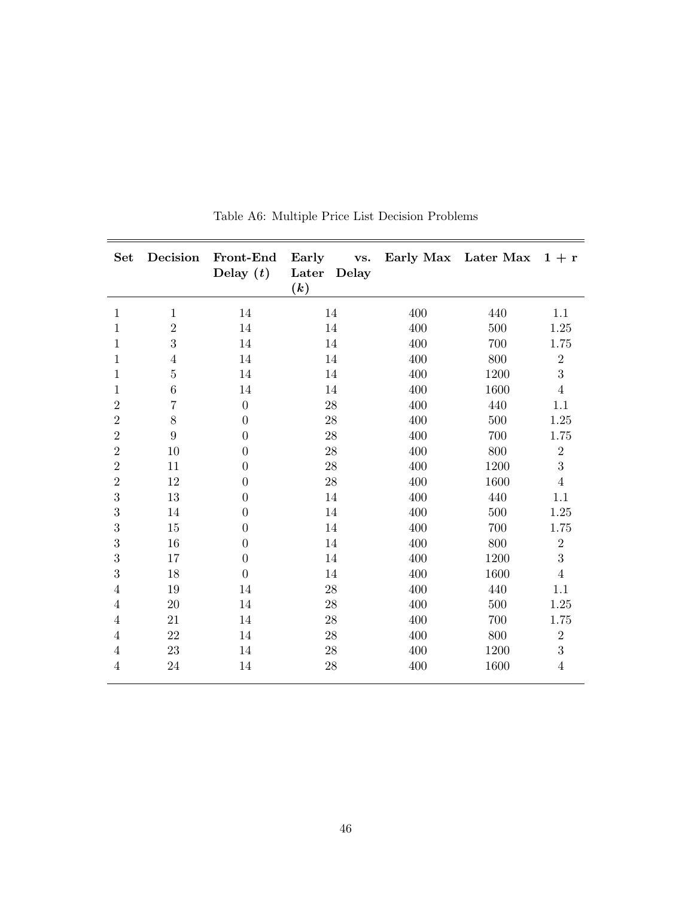| <b>Set</b>     | Decision       | Front-End<br>Delay $(t)$ | Early<br>vs.<br>Later<br>Delay<br>(k) |     | Early Max Later Max $1 + r$ |                |
|----------------|----------------|--------------------------|---------------------------------------|-----|-----------------------------|----------------|
| 1              | $\mathbf{1}$   | 14                       | 14                                    | 400 | 440                         | 1.1            |
| $\mathbf{1}$   | $\overline{2}$ | 14                       | 14                                    | 400 | 500                         | 1.25           |
| $\mathbf{1}$   | 3              | 14                       | 14                                    | 400 | 700                         | 1.75           |
| $\mathbf{1}$   | $\overline{4}$ | 14                       | 14                                    | 400 | 800                         | $\overline{2}$ |
| 1              | $\overline{5}$ | 14                       | 14                                    | 400 | 1200                        | 3              |
| $\mathbf{1}$   | $\,6$          | 14                       | 14                                    | 400 | 1600                        | $\overline{4}$ |
| $\overline{2}$ | $\overline{7}$ | $\overline{0}$           | 28                                    | 400 | 440                         | 1.1            |
| $\overline{2}$ | $8\,$          | $\overline{0}$           | $28\,$                                | 400 | 500                         | 1.25           |
| $\sqrt{2}$     | 9              | $\overline{0}$           | 28                                    | 400 | 700                         | 1.75           |
| $\overline{2}$ | 10             | $\overline{0}$           | 28                                    | 400 | 800                         | $\overline{2}$ |
| $\overline{2}$ | 11             | $\overline{0}$           | $28\,$                                | 400 | 1200                        | 3              |
| $\overline{2}$ | 12             | $\overline{0}$           | 28                                    | 400 | 1600                        | $\overline{4}$ |
| 3              | 13             | $\overline{0}$           | 14                                    | 400 | 440                         | 1.1            |
| $\sqrt{3}$     | 14             | $\overline{0}$           | 14                                    | 400 | 500                         | 1.25           |
| 3              | 15             | $\overline{0}$           | 14                                    | 400 | 700                         | 1.75           |
| 3              | 16             | $\overline{0}$           | 14                                    | 400 | 800                         | $\overline{2}$ |
| $\sqrt{3}$     | 17             | $\overline{0}$           | 14                                    | 400 | 1200                        | 3              |
| 3              | 18             | $\overline{0}$           | 14                                    | 400 | 1600                        | $\overline{4}$ |
| $\overline{4}$ | $19\,$         | 14                       | $28\,$                                | 400 | 440                         | 1.1            |
| $\overline{4}$ | 20             | 14                       | 28                                    | 400 | 500                         | 1.25           |
| $\overline{4}$ | 21             | 14                       | 28                                    | 400 | 700                         | 1.75           |
| $\overline{4}$ | 22             | 14                       | $28\,$                                | 400 | 800                         | $\overline{2}$ |
| $\overline{4}$ | 23             | 14                       | 28                                    | 400 | 1200                        | 3              |
| 4              | 24             | 14                       | 28                                    | 400 | 1600                        | $\overline{4}$ |

Table A6: Multiple Price List Decision Problems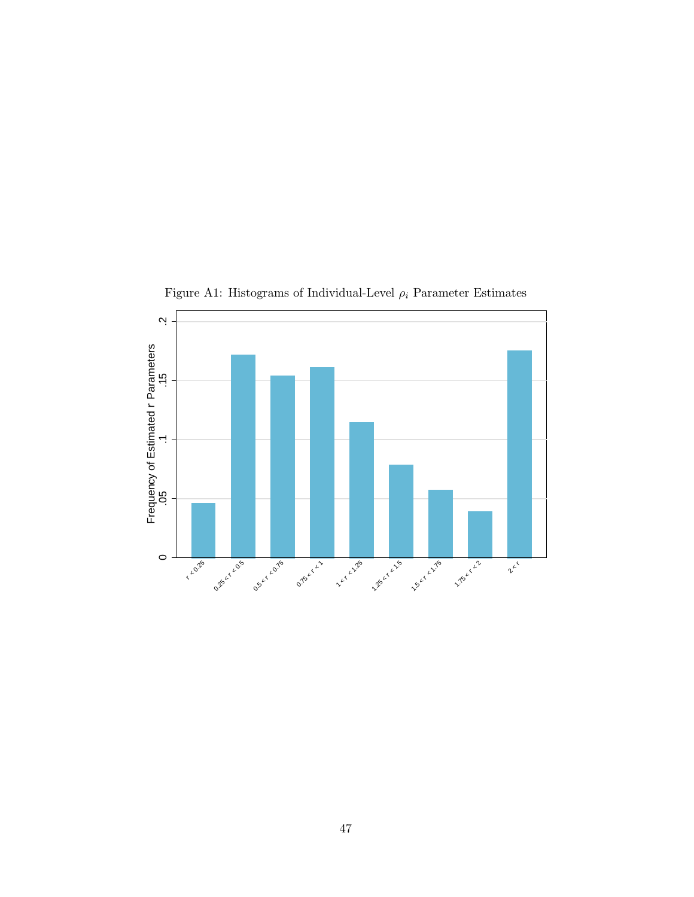

Figure A1: Histograms of Individual-Level  $\rho_i$  Parameter Estimates